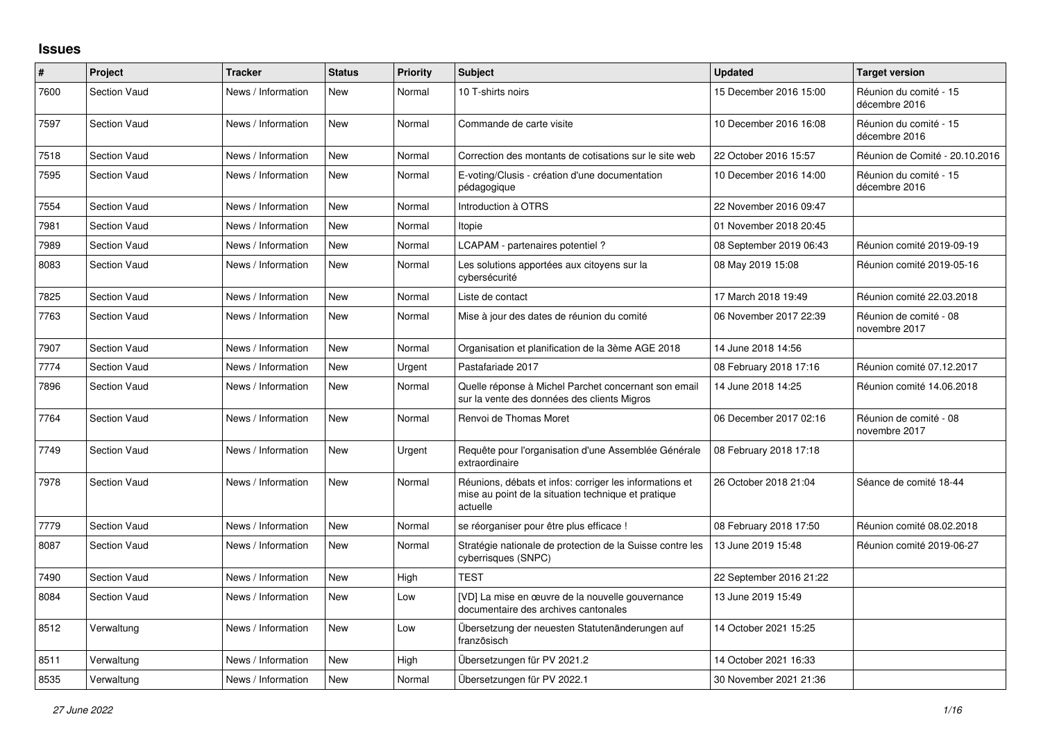## **Issues**

| #    | Project             | <b>Tracker</b>     | <b>Status</b> | <b>Priority</b> | <b>Subject</b>                                                                                                             | <b>Updated</b>          | <b>Target version</b>                   |
|------|---------------------|--------------------|---------------|-----------------|----------------------------------------------------------------------------------------------------------------------------|-------------------------|-----------------------------------------|
| 7600 | <b>Section Vaud</b> | News / Information | <b>New</b>    | Normal          | 10 T-shirts noirs                                                                                                          | 15 December 2016 15:00  | Réunion du comité - 15<br>décembre 2016 |
| 7597 | <b>Section Vaud</b> | News / Information | <b>New</b>    | Normal          | Commande de carte visite                                                                                                   | 10 December 2016 16:08  | Réunion du comité - 15<br>décembre 2016 |
| 7518 | <b>Section Vaud</b> | News / Information | <b>New</b>    | Normal          | Correction des montants de cotisations sur le site web                                                                     | 22 October 2016 15:57   | Réunion de Comité - 20.10.2016          |
| 7595 | <b>Section Vaud</b> | News / Information | <b>New</b>    | Normal          | E-voting/Clusis - création d'une documentation<br>pédagogique                                                              | 10 December 2016 14:00  | Réunion du comité - 15<br>décembre 2016 |
| 7554 | <b>Section Vaud</b> | News / Information | <b>New</b>    | Normal          | Introduction à OTRS                                                                                                        | 22 November 2016 09:47  |                                         |
| 7981 | <b>Section Vaud</b> | News / Information | <b>New</b>    | Normal          | Itopie                                                                                                                     | 01 November 2018 20:45  |                                         |
| 7989 | <b>Section Vaud</b> | News / Information | <b>New</b>    | Normal          | LCAPAM - partenaires potentiel?                                                                                            | 08 September 2019 06:43 | Réunion comité 2019-09-19               |
| 8083 | <b>Section Vaud</b> | News / Information | <b>New</b>    | Normal          | Les solutions apportées aux citoyens sur la<br>cybersécurité                                                               | 08 May 2019 15:08       | Réunion comité 2019-05-16               |
| 7825 | <b>Section Vaud</b> | News / Information | <b>New</b>    | Normal          | Liste de contact                                                                                                           | 17 March 2018 19:49     | Réunion comité 22.03.2018               |
| 7763 | <b>Section Vaud</b> | News / Information | <b>New</b>    | Normal          | Mise à jour des dates de réunion du comité                                                                                 | 06 November 2017 22:39  | Réunion de comité - 08<br>novembre 2017 |
| 7907 | <b>Section Vaud</b> | News / Information | <b>New</b>    | Normal          | Organisation et planification de la 3ème AGE 2018                                                                          | 14 June 2018 14:56      |                                         |
| 7774 | <b>Section Vaud</b> | News / Information | <b>New</b>    | Urgent          | Pastafariade 2017                                                                                                          | 08 February 2018 17:16  | Réunion comité 07.12.2017               |
| 7896 | <b>Section Vaud</b> | News / Information | <b>New</b>    | Normal          | Quelle réponse à Michel Parchet concernant son email<br>sur la vente des données des clients Migros                        | 14 June 2018 14:25      | Réunion comité 14.06.2018               |
| 7764 | <b>Section Vaud</b> | News / Information | <b>New</b>    | Normal          | Renvoi de Thomas Moret                                                                                                     | 06 December 2017 02:16  | Réunion de comité - 08<br>novembre 2017 |
| 7749 | <b>Section Vaud</b> | News / Information | <b>New</b>    | Urgent          | Requête pour l'organisation d'une Assemblée Générale<br>extraordinaire                                                     | 08 February 2018 17:18  |                                         |
| 7978 | <b>Section Vaud</b> | News / Information | New           | Normal          | Réunions, débats et infos: corriger les informations et<br>mise au point de la situation technique et pratique<br>actuelle | 26 October 2018 21:04   | Séance de comité 18-44                  |
| 7779 | <b>Section Vaud</b> | News / Information | <b>New</b>    | Normal          | se réorganiser pour être plus efficace !                                                                                   | 08 February 2018 17:50  | Réunion comité 08.02.2018               |
| 8087 | <b>Section Vaud</b> | News / Information | New           | Normal          | Stratégie nationale de protection de la Suisse contre les<br>cyberrisques (SNPC)                                           | 13 June 2019 15:48      | Réunion comité 2019-06-27               |
| 7490 | <b>Section Vaud</b> | News / Information | <b>New</b>    | High            | <b>TEST</b>                                                                                                                | 22 September 2016 21:22 |                                         |
| 8084 | <b>Section Vaud</b> | News / Information | New           | Low             | [VD] La mise en œuvre de la nouvelle gouvernance<br>documentaire des archives cantonales                                   | 13 June 2019 15:49      |                                         |
| 8512 | Verwaltung          | News / Information | New           | Low             | Übersetzung der neuesten Statutenänderungen auf<br>französisch                                                             | 14 October 2021 15:25   |                                         |
| 8511 | Verwaltung          | News / Information | <b>New</b>    | High            | Übersetzungen für PV 2021.2                                                                                                | 14 October 2021 16:33   |                                         |
| 8535 | Verwaltung          | News / Information | <b>New</b>    | Normal          | Übersetzungen für PV 2022.1                                                                                                | 30 November 2021 21:36  |                                         |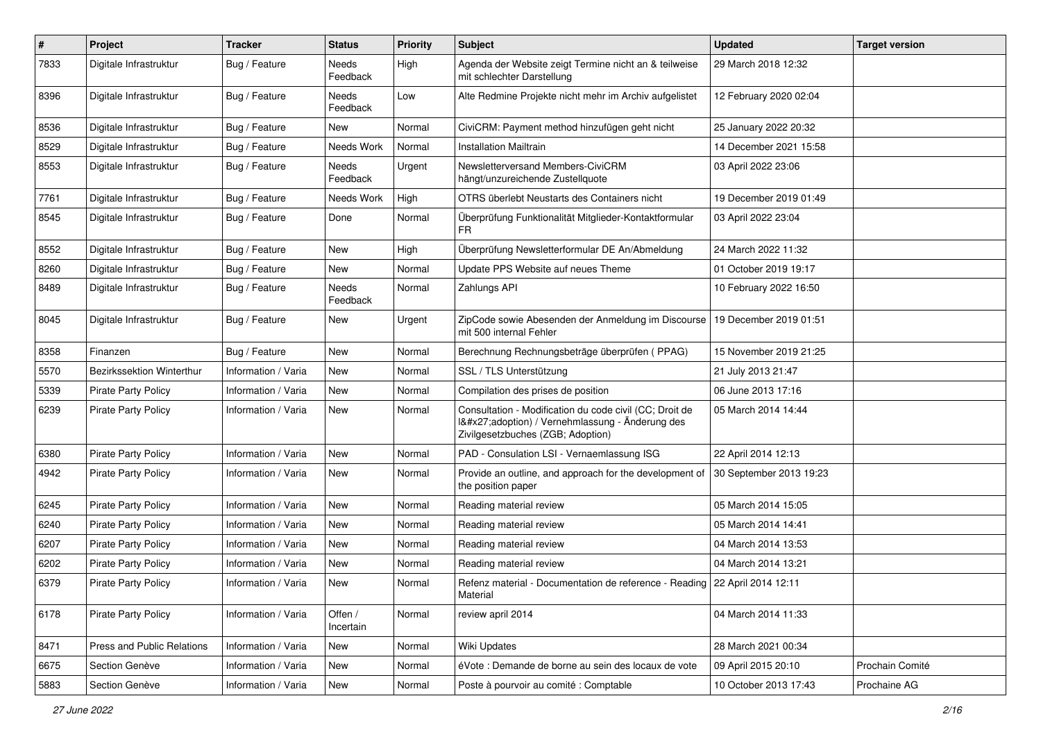| $\pmb{\#}$ | Project                    | <b>Tracker</b>      | <b>Status</b>            | <b>Priority</b> | <b>Subject</b>                                                                                                                              | <b>Updated</b>          | <b>Target version</b> |
|------------|----------------------------|---------------------|--------------------------|-----------------|---------------------------------------------------------------------------------------------------------------------------------------------|-------------------------|-----------------------|
| 7833       | Digitale Infrastruktur     | Bug / Feature       | Needs<br>Feedback        | High            | Agenda der Website zeigt Termine nicht an & teilweise<br>mit schlechter Darstellung                                                         | 29 March 2018 12:32     |                       |
| 8396       | Digitale Infrastruktur     | Bug / Feature       | Needs<br>Feedback        | Low             | Alte Redmine Projekte nicht mehr im Archiv aufgelistet                                                                                      | 12 February 2020 02:04  |                       |
| 8536       | Digitale Infrastruktur     | Bug / Feature       | New                      | Normal          | CiviCRM: Payment method hinzufügen geht nicht                                                                                               | 25 January 2022 20:32   |                       |
| 8529       | Digitale Infrastruktur     | Bug / Feature       | Needs Work               | Normal          | <b>Installation Mailtrain</b>                                                                                                               | 14 December 2021 15:58  |                       |
| 8553       | Digitale Infrastruktur     | Bug / Feature       | <b>Needs</b><br>Feedback | Urgent          | Newsletterversand Members-CiviCRM<br>hängt/unzureichende Zustellquote                                                                       | 03 April 2022 23:06     |                       |
| 7761       | Digitale Infrastruktur     | Bug / Feature       | Needs Work               | High            | OTRS überlebt Neustarts des Containers nicht                                                                                                | 19 December 2019 01:49  |                       |
| 8545       | Digitale Infrastruktur     | Bug / Feature       | Done                     | Normal          | Überprüfung Funktionalität Mitglieder-Kontaktformular<br>FR.                                                                                | 03 April 2022 23:04     |                       |
| 8552       | Digitale Infrastruktur     | Bug / Feature       | <b>New</b>               | High            | Überprüfung Newsletterformular DE An/Abmeldung                                                                                              | 24 March 2022 11:32     |                       |
| 8260       | Digitale Infrastruktur     | Bug / Feature       | <b>New</b>               | Normal          | Update PPS Website auf neues Theme                                                                                                          | 01 October 2019 19:17   |                       |
| 8489       | Digitale Infrastruktur     | Bug / Feature       | Needs<br>Feedback        | Normal          | Zahlungs API                                                                                                                                | 10 February 2022 16:50  |                       |
| 8045       | Digitale Infrastruktur     | Bug / Feature       | New                      | Urgent          | ZipCode sowie Abesenden der Anmeldung im Discourse<br>mit 500 internal Fehler                                                               | 19 December 2019 01:51  |                       |
| 8358       | Finanzen                   | Bug / Feature       | New                      | Normal          | Berechnung Rechnungsbeträge überprüfen (PPAG)                                                                                               | 15 November 2019 21:25  |                       |
| 5570       | Bezirkssektion Winterthur  | Information / Varia | New                      | Normal          | SSL / TLS Unterstützung                                                                                                                     | 21 July 2013 21:47      |                       |
| 5339       | <b>Pirate Party Policy</b> | Information / Varia | <b>New</b>               | Normal          | Compilation des prises de position                                                                                                          | 06 June 2013 17:16      |                       |
| 6239       | Pirate Party Policy        | Information / Varia | <b>New</b>               | Normal          | Consultation - Modification du code civil (CC; Droit de<br>I'adoption) / Vernehmlassung - Änderung des<br>Zivilgesetzbuches (ZGB; Adoption) | 05 March 2014 14:44     |                       |
| 6380       | <b>Pirate Party Policy</b> | Information / Varia | New                      | Normal          | PAD - Consulation LSI - Vernaemlassung ISG                                                                                                  | 22 April 2014 12:13     |                       |
| 4942       | <b>Pirate Party Policy</b> | Information / Varia | New                      | Normal          | Provide an outline, and approach for the development of<br>the position paper                                                               | 30 September 2013 19:23 |                       |
| 6245       | <b>Pirate Party Policy</b> | Information / Varia | New                      | Normal          | Reading material review                                                                                                                     | 05 March 2014 15:05     |                       |
| 6240       | Pirate Party Policy        | Information / Varia | <b>New</b>               | Normal          | Reading material review                                                                                                                     | 05 March 2014 14:41     |                       |
| 6207       | <b>Pirate Party Policy</b> | Information / Varia | <b>New</b>               | Normal          | Reading material review                                                                                                                     | 04 March 2014 13:53     |                       |
| 6202       | <b>Pirate Party Policy</b> | Information / Varia | New                      | Normal          | Reading material review                                                                                                                     | 04 March 2014 13:21     |                       |
| 6379       | <b>Pirate Party Policy</b> | Information / Varia | <b>New</b>               | Normal          | Refenz material - Documentation de reference - Reading   22 April 2014 12:11<br>Material                                                    |                         |                       |
| 6178       | <b>Pirate Party Policy</b> | Information / Varia | Offen /<br>Incertain     | Normal          | review april 2014                                                                                                                           | 04 March 2014 11:33     |                       |
| 8471       | Press and Public Relations | Information / Varia | New                      | Normal          | Wiki Updates                                                                                                                                | 28 March 2021 00:34     |                       |
| 6675       | Section Genève             | Information / Varia | New                      | Normal          | éVote : Demande de borne au sein des locaux de vote                                                                                         | 09 April 2015 20:10     | Prochain Comité       |
| 5883       | Section Genève             | Information / Varia | New                      | Normal          | Poste à pourvoir au comité : Comptable                                                                                                      | 10 October 2013 17:43   | Prochaine AG          |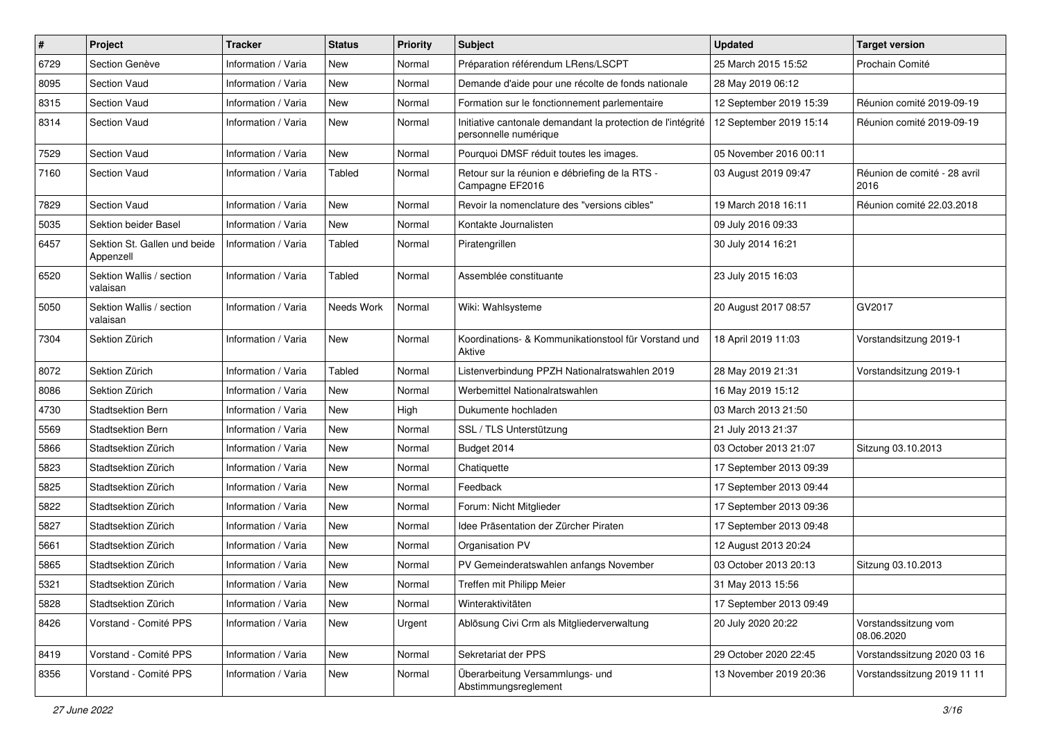| $\pmb{\#}$ | Project                                   | <b>Tracker</b>      | <b>Status</b> | <b>Priority</b> | <b>Subject</b>                                                                       | <b>Updated</b>          | <b>Target version</b>                |
|------------|-------------------------------------------|---------------------|---------------|-----------------|--------------------------------------------------------------------------------------|-------------------------|--------------------------------------|
| 6729       | Section Genève                            | Information / Varia | New           | Normal          | Préparation référendum LRens/LSCPT                                                   | 25 March 2015 15:52     | Prochain Comité                      |
| 8095       | <b>Section Vaud</b>                       | Information / Varia | New           | Normal          | Demande d'aide pour une récolte de fonds nationale                                   | 28 May 2019 06:12       |                                      |
| 8315       | <b>Section Vaud</b>                       | Information / Varia | New           | Normal          | Formation sur le fonctionnement parlementaire                                        | 12 September 2019 15:39 | Réunion comité 2019-09-19            |
| 8314       | <b>Section Vaud</b>                       | Information / Varia | <b>New</b>    | Normal          | Initiative cantonale demandant la protection de l'intégrité<br>personnelle numérique | 12 September 2019 15:14 | Réunion comité 2019-09-19            |
| 7529       | <b>Section Vaud</b>                       | Information / Varia | <b>New</b>    | Normal          | Pourquoi DMSF réduit toutes les images.                                              | 05 November 2016 00:11  |                                      |
| 7160       | <b>Section Vaud</b>                       | Information / Varia | <b>Tabled</b> | Normal          | Retour sur la réunion e débriefing de la RTS -<br>Campagne EF2016                    | 03 August 2019 09:47    | Réunion de comité - 28 avril<br>2016 |
| 7829       | Section Vaud                              | Information / Varia | <b>New</b>    | Normal          | Revoir la nomenclature des "versions cibles"                                         | 19 March 2018 16:11     | Réunion comité 22.03.2018            |
| 5035       | Sektion beider Basel                      | Information / Varia | New           | Normal          | Kontakte Journalisten                                                                | 09 July 2016 09:33      |                                      |
| 6457       | Sektion St. Gallen und beide<br>Appenzell | Information / Varia | <b>Tabled</b> | Normal          | Piratengrillen                                                                       | 30 July 2014 16:21      |                                      |
| 6520       | Sektion Wallis / section<br>valaisan      | Information / Varia | Tabled        | Normal          | Assemblée constituante                                                               | 23 July 2015 16:03      |                                      |
| 5050       | Sektion Wallis / section<br>valaisan      | Information / Varia | Needs Work    | Normal          | Wiki: Wahlsysteme                                                                    | 20 August 2017 08:57    | GV2017                               |
| 7304       | Sektion Zürich                            | Information / Varia | New           | Normal          | Koordinations- & Kommunikationstool für Vorstand und<br>Aktive                       | 18 April 2019 11:03     | Vorstandsitzung 2019-1               |
| 8072       | Sektion Zürich                            | Information / Varia | <b>Tabled</b> | Normal          | Listenverbindung PPZH Nationalratswahlen 2019                                        | 28 May 2019 21:31       | Vorstandsitzung 2019-1               |
| 8086       | Sektion Zürich                            | Information / Varia | <b>New</b>    | Normal          | Werbemittel Nationalratswahlen                                                       | 16 May 2019 15:12       |                                      |
| 4730       | <b>Stadtsektion Bern</b>                  | Information / Varia | New           | High            | Dukumente hochladen                                                                  | 03 March 2013 21:50     |                                      |
| 5569       | Stadtsektion Bern                         | Information / Varia | <b>New</b>    | Normal          | SSL / TLS Unterstützung                                                              | 21 July 2013 21:37      |                                      |
| 5866       | Stadtsektion Zürich                       | Information / Varia | <b>New</b>    | Normal          | Budget 2014                                                                          | 03 October 2013 21:07   | Sitzung 03.10.2013                   |
| 5823       | Stadtsektion Zürich                       | Information / Varia | <b>New</b>    | Normal          | Chatiquette                                                                          | 17 September 2013 09:39 |                                      |
| 5825       | Stadtsektion Zürich                       | Information / Varia | <b>New</b>    | Normal          | Feedback                                                                             | 17 September 2013 09:44 |                                      |
| 5822       | Stadtsektion Zürich                       | Information / Varia | New           | Normal          | Forum: Nicht Mitglieder                                                              | 17 September 2013 09:36 |                                      |
| 5827       | Stadtsektion Zürich                       | Information / Varia | New           | Normal          | Idee Präsentation der Zürcher Piraten                                                | 17 September 2013 09:48 |                                      |
| 5661       | Stadtsektion Zürich                       | Information / Varia | <b>New</b>    | Normal          | Organisation PV                                                                      | 12 August 2013 20:24    |                                      |
| 5865       | Stadtsektion Zürich                       | Information / Varia | New           | Normal          | PV Gemeinderatswahlen anfangs November                                               | 03 October 2013 20:13   | Sitzung 03.10.2013                   |
| 5321       | Stadtsektion Zürich                       | Information / Varia | New           | Normal          | Treffen mit Philipp Meier                                                            | 31 May 2013 15:56       |                                      |
| 5828       | Stadtsektion Zürich                       | Information / Varia | New           | Normal          | Winteraktivitäten                                                                    | 17 September 2013 09:49 |                                      |
| 8426       | Vorstand - Comité PPS                     | Information / Varia | New           | Urgent          | Ablösung Civi Crm als Mitgliederverwaltung                                           | 20 July 2020 20:22      | Vorstandssitzung vom<br>08.06.2020   |
| 8419       | Vorstand - Comité PPS                     | Information / Varia | New           | Normal          | Sekretariat der PPS                                                                  | 29 October 2020 22:45   | Vorstandssitzung 2020 03 16          |
| 8356       | Vorstand - Comité PPS                     | Information / Varia | New           | Normal          | Überarbeitung Versammlungs- und<br>Abstimmungsreglement                              | 13 November 2019 20:36  | Vorstandssitzung 2019 11 11          |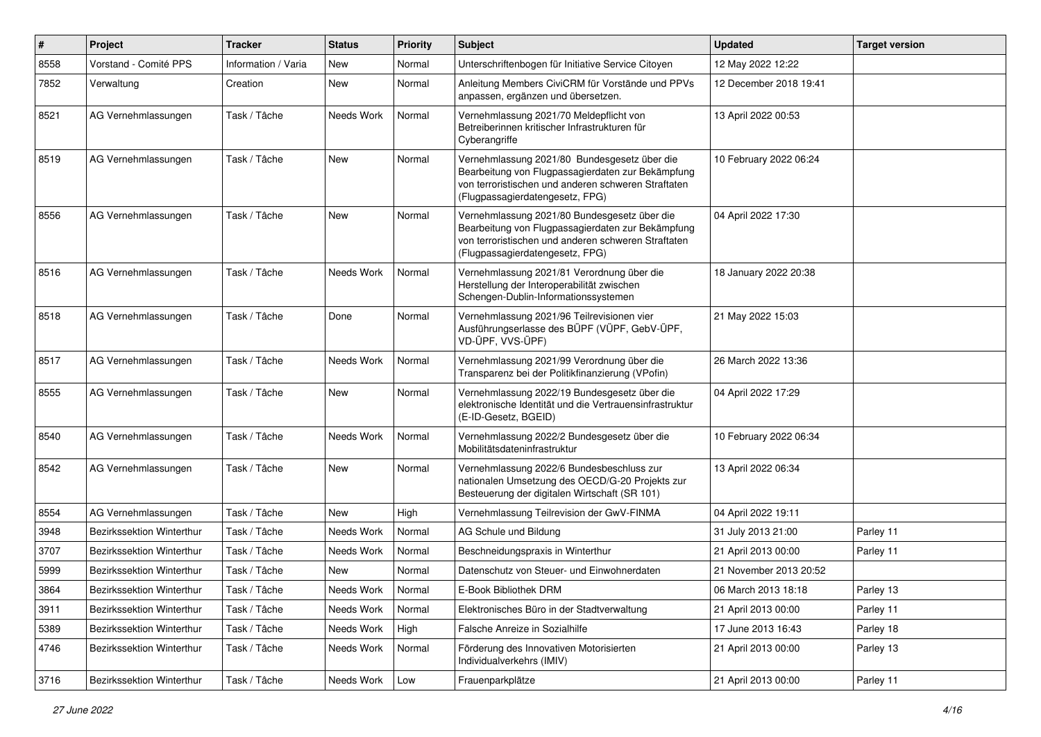| #    | Project                          | <b>Tracker</b>      | <b>Status</b> | <b>Priority</b> | <b>Subject</b>                                                                                                                                                                              | <b>Updated</b>         | <b>Target version</b> |
|------|----------------------------------|---------------------|---------------|-----------------|---------------------------------------------------------------------------------------------------------------------------------------------------------------------------------------------|------------------------|-----------------------|
| 8558 | Vorstand - Comité PPS            | Information / Varia | <b>New</b>    | Normal          | Unterschriftenbogen für Initiative Service Citoyen                                                                                                                                          | 12 May 2022 12:22      |                       |
| 7852 | Verwaltung                       | Creation            | New           | Normal          | Anleitung Members CiviCRM für Vorstände und PPVs<br>anpassen, ergänzen und übersetzen.                                                                                                      | 12 December 2018 19:41 |                       |
| 8521 | AG Vernehmlassungen              | Task / Tâche        | Needs Work    | Normal          | Vernehmlassung 2021/70 Meldepflicht von<br>Betreiberinnen kritischer Infrastrukturen für<br>Cyberangriffe                                                                                   | 13 April 2022 00:53    |                       |
| 8519 | AG Vernehmlassungen              | Task / Tâche        | <b>New</b>    | Normal          | Vernehmlassung 2021/80 Bundesgesetz über die<br>Bearbeitung von Flugpassagierdaten zur Bekämpfung<br>von terroristischen und anderen schweren Straftaten<br>(Flugpassagierdatengesetz, FPG) | 10 February 2022 06:24 |                       |
| 8556 | AG Vernehmlassungen              | Task / Tâche        | New           | Normal          | Vernehmlassung 2021/80 Bundesgesetz über die<br>Bearbeitung von Flugpassagierdaten zur Bekämpfung<br>von terroristischen und anderen schweren Straftaten<br>(Flugpassagierdatengesetz, FPG) | 04 April 2022 17:30    |                       |
| 8516 | AG Vernehmlassungen              | Task / Tâche        | Needs Work    | Normal          | Vernehmlassung 2021/81 Verordnung über die<br>Herstellung der Interoperabilität zwischen<br>Schengen-Dublin-Informationssystemen                                                            | 18 January 2022 20:38  |                       |
| 8518 | AG Vernehmlassungen              | Task / Tâche        | Done          | Normal          | Vernehmlassung 2021/96 Teilrevisionen vier<br>Ausführungserlasse des BÜPF (VÜPF, GebV-ÜPF,<br>VD-ÜPF, VVS-ÜPF)                                                                              | 21 May 2022 15:03      |                       |
| 8517 | AG Vernehmlassungen              | Task / Tâche        | Needs Work    | Normal          | Vernehmlassung 2021/99 Verordnung über die<br>Transparenz bei der Politikfinanzierung (VPofin)                                                                                              | 26 March 2022 13:36    |                       |
| 8555 | AG Vernehmlassungen              | Task / Tâche        | New           | Normal          | Vernehmlassung 2022/19 Bundesgesetz über die<br>elektronische Identität und die Vertrauensinfrastruktur<br>(E-ID-Gesetz, BGEID)                                                             | 04 April 2022 17:29    |                       |
| 8540 | AG Vernehmlassungen              | Task / Tâche        | Needs Work    | Normal          | Vernehmlassung 2022/2 Bundesgesetz über die<br>Mobilitätsdateninfrastruktur                                                                                                                 | 10 February 2022 06:34 |                       |
| 8542 | AG Vernehmlassungen              | Task / Tâche        | New           | Normal          | Vernehmlassung 2022/6 Bundesbeschluss zur<br>nationalen Umsetzung des OECD/G-20 Projekts zur<br>Besteuerung der digitalen Wirtschaft (SR 101)                                               | 13 April 2022 06:34    |                       |
| 8554 | AG Vernehmlassungen              | Task / Tâche        | New           | High            | Vernehmlassung Teilrevision der GwV-FINMA                                                                                                                                                   | 04 April 2022 19:11    |                       |
| 3948 | Bezirkssektion Winterthur        | Task / Tâche        | Needs Work    | Normal          | AG Schule und Bildung                                                                                                                                                                       | 31 July 2013 21:00     | Parley 11             |
| 3707 | Bezirkssektion Winterthur        | Task / Tâche        | Needs Work    | Normal          | Beschneidungspraxis in Winterthur                                                                                                                                                           | 21 April 2013 00:00    | Parley 11             |
| 5999 | Bezirkssektion Winterthur        | Task / Tâche        | New           | Normal          | Datenschutz von Steuer- und Einwohnerdaten                                                                                                                                                  | 21 November 2013 20:52 |                       |
| 3864 | Bezirkssektion Winterthur        | Task / Tâche        | Needs Work    | Normal          | E-Book Bibliothek DRM                                                                                                                                                                       | 06 March 2013 18:18    | Parley 13             |
| 3911 | Bezirkssektion Winterthur        | Task / Tâche        | Needs Work    | Normal          | Elektronisches Büro in der Stadtverwaltung                                                                                                                                                  | 21 April 2013 00:00    | Parley 11             |
| 5389 | <b>Bezirkssektion Winterthur</b> | Task / Tâche        | Needs Work    | High            | Falsche Anreize in Sozialhilfe                                                                                                                                                              | 17 June 2013 16:43     | Parley 18             |
| 4746 | Bezirkssektion Winterthur        | Task / Tâche        | Needs Work    | Normal          | Förderung des Innovativen Motorisierten<br>Individualverkehrs (IMIV)                                                                                                                        | 21 April 2013 00:00    | Parley 13             |
| 3716 | Bezirkssektion Winterthur        | Task / Tâche        | Needs Work    | Low             | Frauenparkplätze                                                                                                                                                                            | 21 April 2013 00:00    | Parley 11             |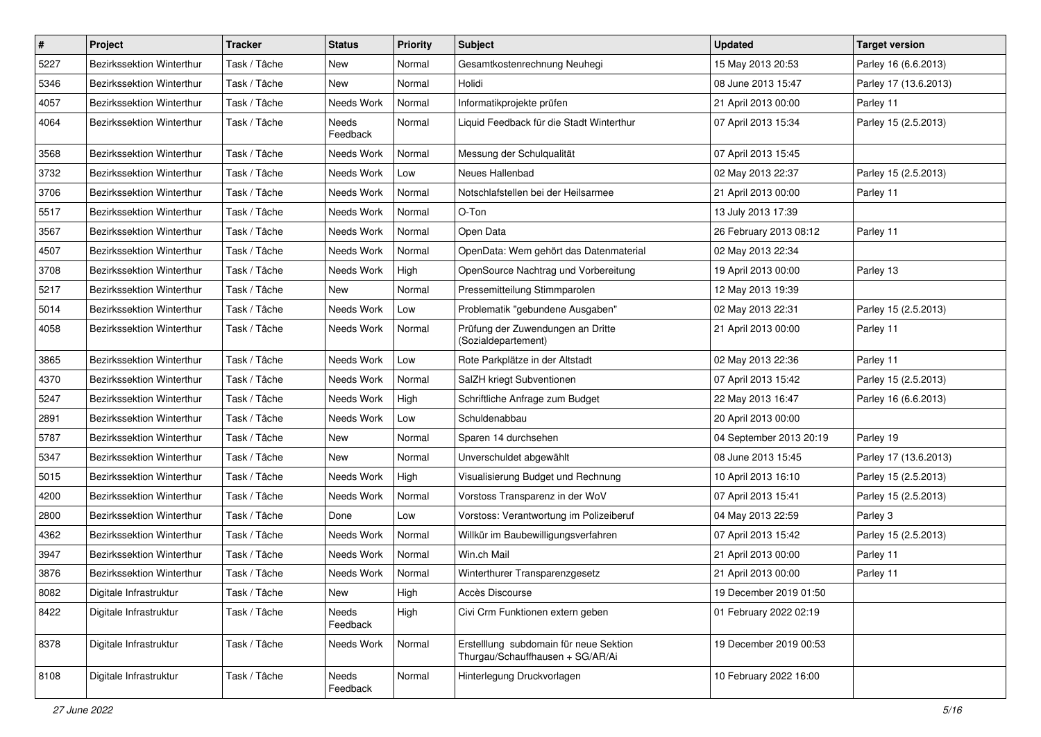| $\#$ | Project                          | <b>Tracker</b> | <b>Status</b>     | <b>Priority</b> | <b>Subject</b>                                                             | <b>Updated</b>          | <b>Target version</b> |
|------|----------------------------------|----------------|-------------------|-----------------|----------------------------------------------------------------------------|-------------------------|-----------------------|
| 5227 | Bezirkssektion Winterthur        | Task / Tâche   | <b>New</b>        | Normal          | Gesamtkostenrechnung Neuhegi                                               | 15 May 2013 20:53       | Parley 16 (6.6.2013)  |
| 5346 | Bezirkssektion Winterthur        | Task / Tâche   | <b>New</b>        | Normal          | Holidi                                                                     | 08 June 2013 15:47      | Parley 17 (13.6.2013) |
| 4057 | Bezirkssektion Winterthur        | Task / Tâche   | Needs Work        | Normal          | Informatikprojekte prüfen                                                  | 21 April 2013 00:00     | Parley 11             |
| 4064 | Bezirkssektion Winterthur        | Task / Tâche   | Needs<br>Feedback | Normal          | Liquid Feedback für die Stadt Winterthur                                   | 07 April 2013 15:34     | Parley 15 (2.5.2013)  |
| 3568 | <b>Bezirkssektion Winterthur</b> | Task / Tâche   | Needs Work        | Normal          | Messung der Schulqualität                                                  | 07 April 2013 15:45     |                       |
| 3732 | Bezirkssektion Winterthur        | Task / Tâche   | Needs Work        | Low             | Neues Hallenbad                                                            | 02 May 2013 22:37       | Parley 15 (2.5.2013)  |
| 3706 | <b>Bezirkssektion Winterthur</b> | Task / Tâche   | Needs Work        | Normal          | Notschlafstellen bei der Heilsarmee                                        | 21 April 2013 00:00     | Parley 11             |
| 5517 | Bezirkssektion Winterthur        | Task / Tâche   | Needs Work        | Normal          | O-Ton                                                                      | 13 July 2013 17:39      |                       |
| 3567 | Bezirkssektion Winterthur        | Task / Tâche   | Needs Work        | Normal          | Open Data                                                                  | 26 February 2013 08:12  | Parley 11             |
| 4507 | Bezirkssektion Winterthur        | Task / Tâche   | Needs Work        | Normal          | OpenData: Wem gehört das Datenmaterial                                     | 02 May 2013 22:34       |                       |
| 3708 | Bezirkssektion Winterthur        | Task / Tâche   | Needs Work        | High            | OpenSource Nachtrag und Vorbereitung                                       | 19 April 2013 00:00     | Parley 13             |
| 5217 | Bezirkssektion Winterthur        | Task / Tâche   | New               | Normal          | Pressemitteilung Stimmparolen                                              | 12 May 2013 19:39       |                       |
| 5014 | <b>Bezirkssektion Winterthur</b> | Task / Tâche   | Needs Work        | Low             | Problematik "gebundene Ausgaben"                                           | 02 May 2013 22:31       | Parley 15 (2.5.2013)  |
| 4058 | Bezirkssektion Winterthur        | Task / Tâche   | Needs Work        | Normal          | Prüfung der Zuwendungen an Dritte<br>(Sozialdepartement)                   | 21 April 2013 00:00     | Parley 11             |
| 3865 | <b>Bezirkssektion Winterthur</b> | Task / Tâche   | Needs Work        | Low             | Rote Parkplätze in der Altstadt                                            | 02 May 2013 22:36       | Parley 11             |
| 4370 | Bezirkssektion Winterthur        | Task / Tâche   | Needs Work        | Normal          | SalZH kriegt Subventionen                                                  | 07 April 2013 15:42     | Parley 15 (2.5.2013)  |
| 5247 | Bezirkssektion Winterthur        | Task / Tâche   | Needs Work        | High            | Schriftliche Anfrage zum Budget                                            | 22 May 2013 16:47       | Parley 16 (6.6.2013)  |
| 2891 | Bezirkssektion Winterthur        | Task / Tâche   | Needs Work        | Low             | Schuldenabbau                                                              | 20 April 2013 00:00     |                       |
| 5787 | <b>Bezirkssektion Winterthur</b> | Task / Tâche   | <b>New</b>        | Normal          | Sparen 14 durchsehen                                                       | 04 September 2013 20:19 | Parley 19             |
| 5347 | Bezirkssektion Winterthur        | Task / Tâche   | New               | Normal          | Unverschuldet abgewählt                                                    | 08 June 2013 15:45      | Parley 17 (13.6.2013) |
| 5015 | <b>Bezirkssektion Winterthur</b> | Task / Tâche   | Needs Work        | High            | Visualisierung Budget und Rechnung                                         | 10 April 2013 16:10     | Parley 15 (2.5.2013)  |
| 4200 | <b>Bezirkssektion Winterthur</b> | Task / Tâche   | Needs Work        | Normal          | Vorstoss Transparenz in der WoV                                            | 07 April 2013 15:41     | Parley 15 (2.5.2013)  |
| 2800 | Bezirkssektion Winterthur        | Task / Tâche   | Done              | Low             | Vorstoss: Verantwortung im Polizeiberuf                                    | 04 May 2013 22:59       | Parley 3              |
| 4362 | Bezirkssektion Winterthur        | Task / Tâche   | Needs Work        | Normal          | Willkür im Baubewilligungsverfahren                                        | 07 April 2013 15:42     | Parley 15 (2.5.2013)  |
| 3947 | Bezirkssektion Winterthur        | Task / Tâche   | Needs Work        | Normal          | Win.ch Mail                                                                | 21 April 2013 00:00     | Parley 11             |
| 3876 | Bezirkssektion Winterthur        | Task / Tâche   | Needs Work        | Normal          | Winterthurer Transparenzgesetz                                             | 21 April 2013 00:00     | Parley 11             |
| 8082 | Digitale Infrastruktur           | Task / Tâche   | New               | High            | Accès Discourse                                                            | 19 December 2019 01:50  |                       |
| 8422 | Digitale Infrastruktur           | Task / Tâche   | Needs<br>Feedback | High            | Civi Crm Funktionen extern geben                                           | 01 February 2022 02:19  |                       |
| 8378 | Digitale Infrastruktur           | Task / Tâche   | Needs Work        | Normal          | Erstelllung subdomain für neue Sektion<br>Thurgau/Schauffhausen + SG/AR/Ai | 19 December 2019 00:53  |                       |
| 8108 | Digitale Infrastruktur           | Task / Tâche   | Needs<br>Feedback | Normal          | Hinterlegung Druckvorlagen                                                 | 10 February 2022 16:00  |                       |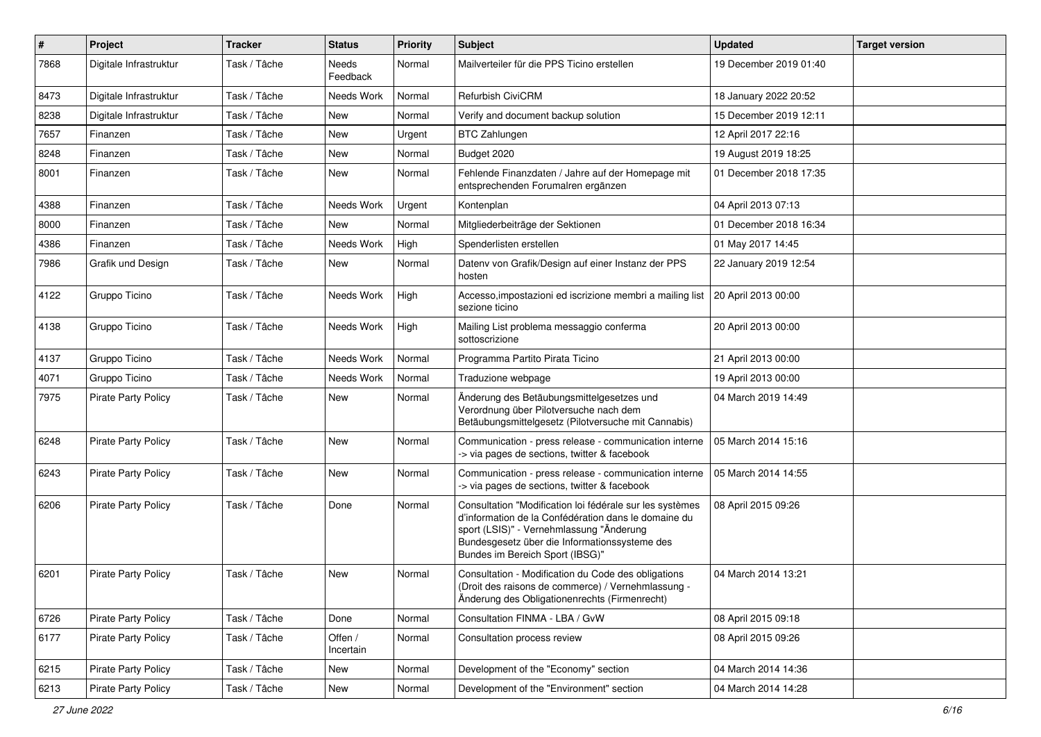| $\vert$ # | Project                    | <b>Tracker</b> | <b>Status</b>            | <b>Priority</b> | <b>Subject</b>                                                                                                                                                                                                                                   | <b>Updated</b>         | <b>Target version</b> |
|-----------|----------------------------|----------------|--------------------------|-----------------|--------------------------------------------------------------------------------------------------------------------------------------------------------------------------------------------------------------------------------------------------|------------------------|-----------------------|
| 7868      | Digitale Infrastruktur     | Task / Tâche   | <b>Needs</b><br>Feedback | Normal          | Mailverteiler für die PPS Ticino erstellen                                                                                                                                                                                                       | 19 December 2019 01:40 |                       |
| 8473      | Digitale Infrastruktur     | Task / Tâche   | Needs Work               | Normal          | <b>Refurbish CiviCRM</b>                                                                                                                                                                                                                         | 18 January 2022 20:52  |                       |
| 8238      | Digitale Infrastruktur     | Task / Tâche   | <b>New</b>               | Normal          | Verify and document backup solution                                                                                                                                                                                                              | 15 December 2019 12:11 |                       |
| 7657      | Finanzen                   | Task / Tâche   | <b>New</b>               | Urgent          | <b>BTC Zahlungen</b>                                                                                                                                                                                                                             | 12 April 2017 22:16    |                       |
| 8248      | Finanzen                   | Task / Tâche   | New                      | Normal          | Budget 2020                                                                                                                                                                                                                                      | 19 August 2019 18:25   |                       |
| 8001      | Finanzen                   | Task / Tâche   | <b>New</b>               | Normal          | Fehlende Finanzdaten / Jahre auf der Homepage mit<br>entsprechenden Forumalren ergänzen                                                                                                                                                          | 01 December 2018 17:35 |                       |
| 4388      | Finanzen                   | Task / Tâche   | Needs Work               | Urgent          | Kontenplan                                                                                                                                                                                                                                       | 04 April 2013 07:13    |                       |
| 8000      | Finanzen                   | Task / Tâche   | <b>New</b>               | Normal          | Mitgliederbeiträge der Sektionen                                                                                                                                                                                                                 | 01 December 2018 16:34 |                       |
| 4386      | Finanzen                   | Task / Tâche   | Needs Work               | High            | Spenderlisten erstellen                                                                                                                                                                                                                          | 01 May 2017 14:45      |                       |
| 7986      | Grafik und Design          | Task / Tâche   | New                      | Normal          | Datenv von Grafik/Design auf einer Instanz der PPS<br>hosten                                                                                                                                                                                     | 22 January 2019 12:54  |                       |
| 4122      | Gruppo Ticino              | Task / Tâche   | Needs Work               | High            | Accesso, impostazioni ed iscrizione membri a mailing list   20 April 2013 00:00<br>sezione ticino                                                                                                                                                |                        |                       |
| 4138      | Gruppo Ticino              | Task / Tâche   | Needs Work               | High            | Mailing List problema messaggio conferma<br>sottoscrizione                                                                                                                                                                                       | 20 April 2013 00:00    |                       |
| 4137      | Gruppo Ticino              | Task / Tâche   | Needs Work               | Normal          | Programma Partito Pirata Ticino                                                                                                                                                                                                                  | 21 April 2013 00:00    |                       |
| 4071      | Gruppo Ticino              | Task / Tâche   | Needs Work               | Normal          | Traduzione webpage                                                                                                                                                                                                                               | 19 April 2013 00:00    |                       |
| 7975      | <b>Pirate Party Policy</b> | Task / Tâche   | New                      | Normal          | Änderung des Betäubungsmittelgesetzes und<br>Verordnung über Pilotversuche nach dem<br>Betäubungsmittelgesetz (Pilotversuche mit Cannabis)                                                                                                       | 04 March 2019 14:49    |                       |
| 6248      | <b>Pirate Party Policy</b> | Task / Tâche   | <b>New</b>               | Normal          | Communication - press release - communication interne<br>-> via pages de sections, twitter & facebook                                                                                                                                            | 05 March 2014 15:16    |                       |
| 6243      | <b>Pirate Party Policy</b> | Task / Tâche   | <b>New</b>               | Normal          | Communication - press release - communication interne<br>-> via pages de sections, twitter & facebook                                                                                                                                            | 05 March 2014 14:55    |                       |
| 6206      | <b>Pirate Party Policy</b> | Task / Tâche   | Done                     | Normal          | Consultation "Modification loi fédérale sur les systèmes<br>d'information de la Confédération dans le domaine du<br>sport (LSIS)" - Vernehmlassung "Änderung<br>Bundesgesetz über die Informationssysteme des<br>Bundes im Bereich Sport (IBSG)" | 08 April 2015 09:26    |                       |
| 6201      | <b>Pirate Party Policy</b> | Task / Tâche   | <b>New</b>               | Normal          | Consultation - Modification du Code des obligations<br>(Droit des raisons de commerce) / Vernehmlassung -<br>Änderung des Obligationenrechts (Firmenrecht)                                                                                       | 04 March 2014 13:21    |                       |
| 6726      | Pirate Party Policy        | Task / Tâche   | Done                     | Normal          | Consultation FINMA - LBA / GvW                                                                                                                                                                                                                   | 08 April 2015 09:18    |                       |
| 6177      | <b>Pirate Party Policy</b> | Task / Tâche   | Offen /<br>Incertain     | Normal          | Consultation process review                                                                                                                                                                                                                      | 08 April 2015 09:26    |                       |
| 6215      | <b>Pirate Party Policy</b> | Task / Tâche   | New                      | Normal          | Development of the "Economy" section                                                                                                                                                                                                             | 04 March 2014 14:36    |                       |
| 6213      | <b>Pirate Party Policy</b> | Task / Tâche   | New                      | Normal          | Development of the "Environment" section                                                                                                                                                                                                         | 04 March 2014 14:28    |                       |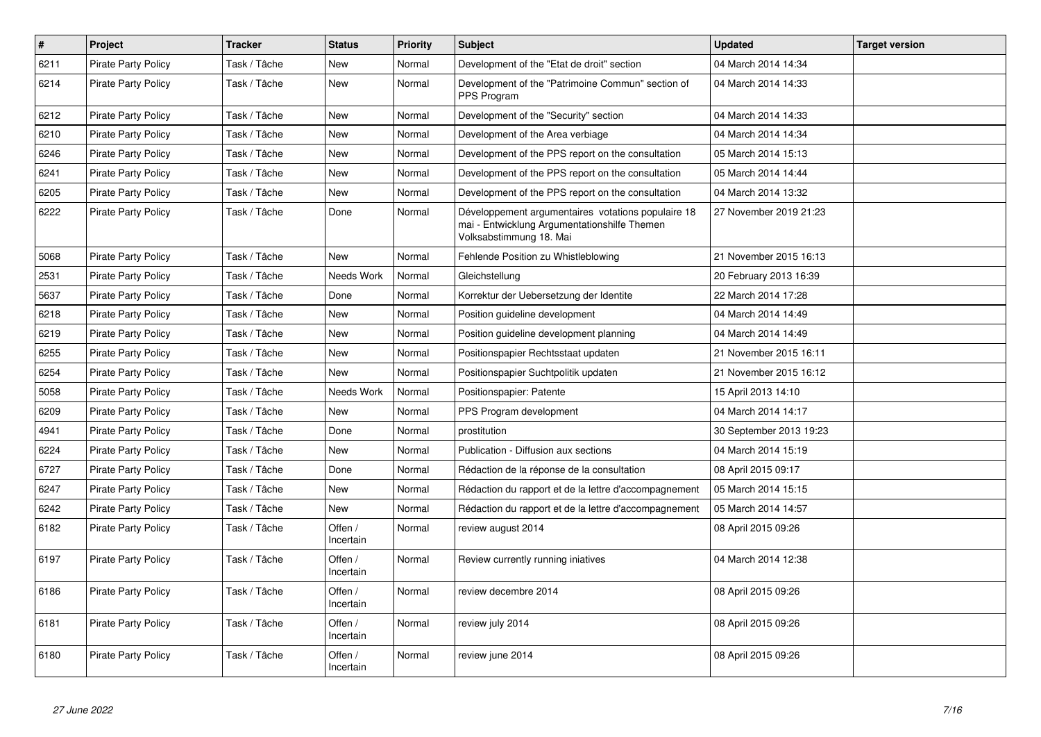| $\vert$ # | Project                    | <b>Tracker</b> | <b>Status</b>        | <b>Priority</b> | <b>Subject</b>                                                                                                                | <b>Updated</b>          | <b>Target version</b> |
|-----------|----------------------------|----------------|----------------------|-----------------|-------------------------------------------------------------------------------------------------------------------------------|-------------------------|-----------------------|
| 6211      | <b>Pirate Party Policy</b> | Task / Tâche   | <b>New</b>           | Normal          | Development of the "Etat de droit" section                                                                                    | 04 March 2014 14:34     |                       |
| 6214      | <b>Pirate Party Policy</b> | Task / Tâche   | <b>New</b>           | Normal          | Development of the "Patrimoine Commun" section of<br>PPS Program                                                              | 04 March 2014 14:33     |                       |
| 6212      | <b>Pirate Party Policy</b> | Task / Tâche   | <b>New</b>           | Normal          | Development of the "Security" section                                                                                         | 04 March 2014 14:33     |                       |
| 6210      | <b>Pirate Party Policy</b> | Task / Tâche   | <b>New</b>           | Normal          | Development of the Area verbiage                                                                                              | 04 March 2014 14:34     |                       |
| 6246      | <b>Pirate Party Policy</b> | Task / Tâche   | <b>New</b>           | Normal          | Development of the PPS report on the consultation                                                                             | 05 March 2014 15:13     |                       |
| 6241      | Pirate Party Policy        | Task / Tâche   | <b>New</b>           | Normal          | Development of the PPS report on the consultation                                                                             | 05 March 2014 14:44     |                       |
| 6205      | <b>Pirate Party Policy</b> | Task / Tâche   | <b>New</b>           | Normal          | Development of the PPS report on the consultation                                                                             | 04 March 2014 13:32     |                       |
| 6222      | <b>Pirate Party Policy</b> | Task / Tâche   | Done                 | Normal          | Développement argumentaires votations populaire 18<br>mai - Entwicklung Argumentationshilfe Themen<br>Volksabstimmung 18. Mai | 27 November 2019 21:23  |                       |
| 5068      | <b>Pirate Party Policy</b> | Task / Tâche   | <b>New</b>           | Normal          | Fehlende Position zu Whistleblowing                                                                                           | 21 November 2015 16:13  |                       |
| 2531      | Pirate Party Policy        | Task / Tâche   | Needs Work           | Normal          | Gleichstellung                                                                                                                | 20 February 2013 16:39  |                       |
| 5637      | <b>Pirate Party Policy</b> | Task / Tâche   | Done                 | Normal          | Korrektur der Uebersetzung der Identite                                                                                       | 22 March 2014 17:28     |                       |
| 6218      | <b>Pirate Party Policy</b> | Task / Tâche   | <b>New</b>           | Normal          | Position guideline development                                                                                                | 04 March 2014 14:49     |                       |
| 6219      | <b>Pirate Party Policy</b> | Task / Tâche   | <b>New</b>           | Normal          | Position guideline development planning                                                                                       | 04 March 2014 14:49     |                       |
| 6255      | Pirate Party Policy        | Task / Tâche   | <b>New</b>           | Normal          | Positionspapier Rechtsstaat updaten                                                                                           | 21 November 2015 16:11  |                       |
| 6254      | <b>Pirate Party Policy</b> | Task / Tâche   | <b>New</b>           | Normal          | Positionspapier Suchtpolitik updaten                                                                                          | 21 November 2015 16:12  |                       |
| 5058      | <b>Pirate Party Policy</b> | Task / Tâche   | Needs Work           | Normal          | Positionspapier: Patente                                                                                                      | 15 April 2013 14:10     |                       |
| 6209      | <b>Pirate Party Policy</b> | Task / Tâche   | <b>New</b>           | Normal          | PPS Program development                                                                                                       | 04 March 2014 14:17     |                       |
| 4941      | Pirate Party Policy        | Task / Tâche   | Done                 | Normal          | prostitution                                                                                                                  | 30 September 2013 19:23 |                       |
| 6224      | <b>Pirate Party Policy</b> | Task / Tâche   | <b>New</b>           | Normal          | Publication - Diffusion aux sections                                                                                          | 04 March 2014 15:19     |                       |
| 6727      | <b>Pirate Party Policy</b> | Task / Tâche   | Done                 | Normal          | Rédaction de la réponse de la consultation                                                                                    | 08 April 2015 09:17     |                       |
| 6247      | <b>Pirate Party Policy</b> | Task / Tâche   | <b>New</b>           | Normal          | Rédaction du rapport et de la lettre d'accompagnement                                                                         | 05 March 2014 15:15     |                       |
| 6242      | <b>Pirate Party Policy</b> | Task / Tâche   | <b>New</b>           | Normal          | Rédaction du rapport et de la lettre d'accompagnement                                                                         | 05 March 2014 14:57     |                       |
| 6182      | <b>Pirate Party Policy</b> | Task / Tâche   | Offen /<br>Incertain | Normal          | review august 2014                                                                                                            | 08 April 2015 09:26     |                       |
| 6197      | <b>Pirate Party Policy</b> | Task / Tâche   | Offen /<br>Incertain | Normal          | Review currently running iniatives                                                                                            | 04 March 2014 12:38     |                       |
| 6186      | <b>Pirate Party Policy</b> | Task / Tâche   | Offen /<br>Incertain | Normal          | review decembre 2014                                                                                                          | 08 April 2015 09:26     |                       |
| 6181      | <b>Pirate Party Policy</b> | Task / Tâche   | Offen /<br>Incertain | Normal          | review july 2014                                                                                                              | 08 April 2015 09:26     |                       |
| 6180      | <b>Pirate Party Policy</b> | Task / Tâche   | Offen /<br>Incertain | Normal          | review june 2014                                                                                                              | 08 April 2015 09:26     |                       |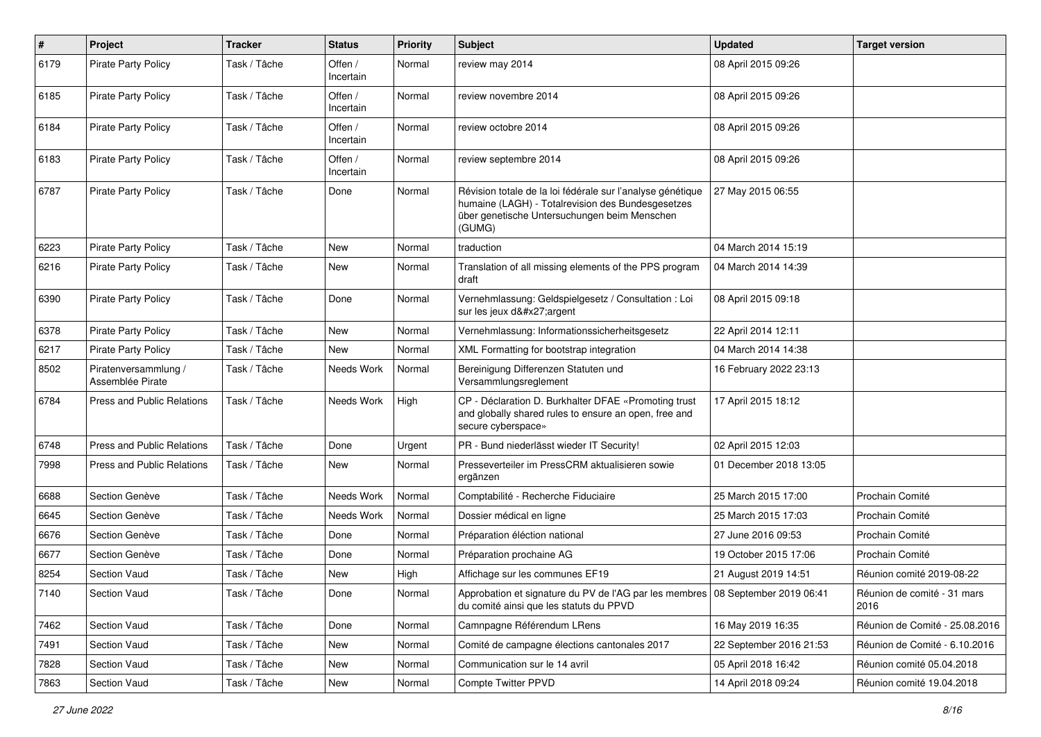| $\pmb{\#}$ | Project                                  | <b>Tracker</b> | <b>Status</b>        | <b>Priority</b> | <b>Subject</b>                                                                                                                                                            | <b>Updated</b>          | <b>Target version</b>               |
|------------|------------------------------------------|----------------|----------------------|-----------------|---------------------------------------------------------------------------------------------------------------------------------------------------------------------------|-------------------------|-------------------------------------|
| 6179       | <b>Pirate Party Policy</b>               | Task / Tâche   | Offen /<br>Incertain | Normal          | review may 2014                                                                                                                                                           | 08 April 2015 09:26     |                                     |
| 6185       | <b>Pirate Party Policy</b>               | Task / Tâche   | Offen /<br>Incertain | Normal          | review novembre 2014                                                                                                                                                      | 08 April 2015 09:26     |                                     |
| 6184       | <b>Pirate Party Policy</b>               | Task / Tâche   | Offen /<br>Incertain | Normal          | review octobre 2014                                                                                                                                                       | 08 April 2015 09:26     |                                     |
| 6183       | <b>Pirate Party Policy</b>               | Task / Tâche   | Offen /<br>Incertain | Normal          | review septembre 2014                                                                                                                                                     | 08 April 2015 09:26     |                                     |
| 6787       | <b>Pirate Party Policy</b>               | Task / Tâche   | Done                 | Normal          | Révision totale de la loi fédérale sur l'analyse génétique<br>humaine (LAGH) - Totalrevision des Bundesgesetzes<br>über genetische Untersuchungen beim Menschen<br>(GUMG) | 27 May 2015 06:55       |                                     |
| 6223       | <b>Pirate Party Policy</b>               | Task / Tâche   | <b>New</b>           | Normal          | traduction                                                                                                                                                                | 04 March 2014 15:19     |                                     |
| 6216       | <b>Pirate Party Policy</b>               | Task / Tâche   | New                  | Normal          | Translation of all missing elements of the PPS program<br>draft                                                                                                           | 04 March 2014 14:39     |                                     |
| 6390       | Pirate Party Policy                      | Task / Tâche   | Done                 | Normal          | Vernehmlassung: Geldspielgesetz / Consultation : Loi<br>sur les jeux d'argent                                                                                             | 08 April 2015 09:18     |                                     |
| 6378       | <b>Pirate Party Policy</b>               | Task / Tâche   | New                  | Normal          | Vernehmlassung: Informationssicherheitsgesetz                                                                                                                             | 22 April 2014 12:11     |                                     |
| 6217       | <b>Pirate Party Policy</b>               | Task / Tâche   | <b>New</b>           | Normal          | XML Formatting for bootstrap integration                                                                                                                                  | 04 March 2014 14:38     |                                     |
| 8502       | Piratenversammlung /<br>Assemblée Pirate | Task / Tâche   | Needs Work           | Normal          | Bereinigung Differenzen Statuten und<br>Versammlungsreglement                                                                                                             | 16 February 2022 23:13  |                                     |
| 6784       | Press and Public Relations               | Task / Tâche   | Needs Work           | High            | CP - Déclaration D. Burkhalter DFAE «Promoting trust<br>and globally shared rules to ensure an open, free and<br>secure cyberspace»                                       | 17 April 2015 18:12     |                                     |
| 6748       | <b>Press and Public Relations</b>        | Task / Tâche   | Done                 | Urgent          | PR - Bund niederlässt wieder IT Security!                                                                                                                                 | 02 April 2015 12:03     |                                     |
| 7998       | Press and Public Relations               | Task / Tâche   | New                  | Normal          | Presseverteiler im PressCRM aktualisieren sowie<br>ergänzen                                                                                                               | 01 December 2018 13:05  |                                     |
| 6688       | Section Genève                           | Task / Tâche   | Needs Work           | Normal          | Comptabilité - Recherche Fiduciaire                                                                                                                                       | 25 March 2015 17:00     | Prochain Comité                     |
| 6645       | Section Genève                           | Task / Tâche   | Needs Work           | Normal          | Dossier médical en ligne                                                                                                                                                  | 25 March 2015 17:03     | Prochain Comité                     |
| 6676       | Section Genève                           | Task / Tâche   | Done                 | Normal          | Préparation éléction national                                                                                                                                             | 27 June 2016 09:53      | Prochain Comité                     |
| 6677       | Section Genève                           | Task / Tâche   | Done                 | Normal          | Préparation prochaine AG                                                                                                                                                  | 19 October 2015 17:06   | Prochain Comité                     |
| 8254       | Section Vaud                             | Task / Tâche   | <b>New</b>           | High            | Affichage sur les communes EF19                                                                                                                                           | 21 August 2019 14:51    | Réunion comité 2019-08-22           |
| 7140       | Section Vaud                             | Task / Tâche   | Done                 | Normal          | Approbation et signature du PV de l'AG par les membres   08 September 2019 06:41<br>du comité ainsi que les statuts du PPVD                                               |                         | Réunion de comité - 31 mars<br>2016 |
| 7462       | Section Vaud                             | Task / Tâche   | Done                 | Normal          | Camnpagne Référendum LRens                                                                                                                                                | 16 May 2019 16:35       | Réunion de Comité - 25.08.2016      |
| 7491       | Section Vaud                             | Task / Tâche   | New                  | Normal          | Comité de campagne élections cantonales 2017                                                                                                                              | 22 September 2016 21:53 | Réunion de Comité - 6.10.2016       |
| 7828       | Section Vaud                             | Task / Tâche   | New                  | Normal          | Communication sur le 14 avril                                                                                                                                             | 05 April 2018 16:42     | Réunion comité 05.04.2018           |
| 7863       | Section Vaud                             | Task / Tâche   | New                  | Normal          | Compte Twitter PPVD                                                                                                                                                       | 14 April 2018 09:24     | Réunion comité 19.04.2018           |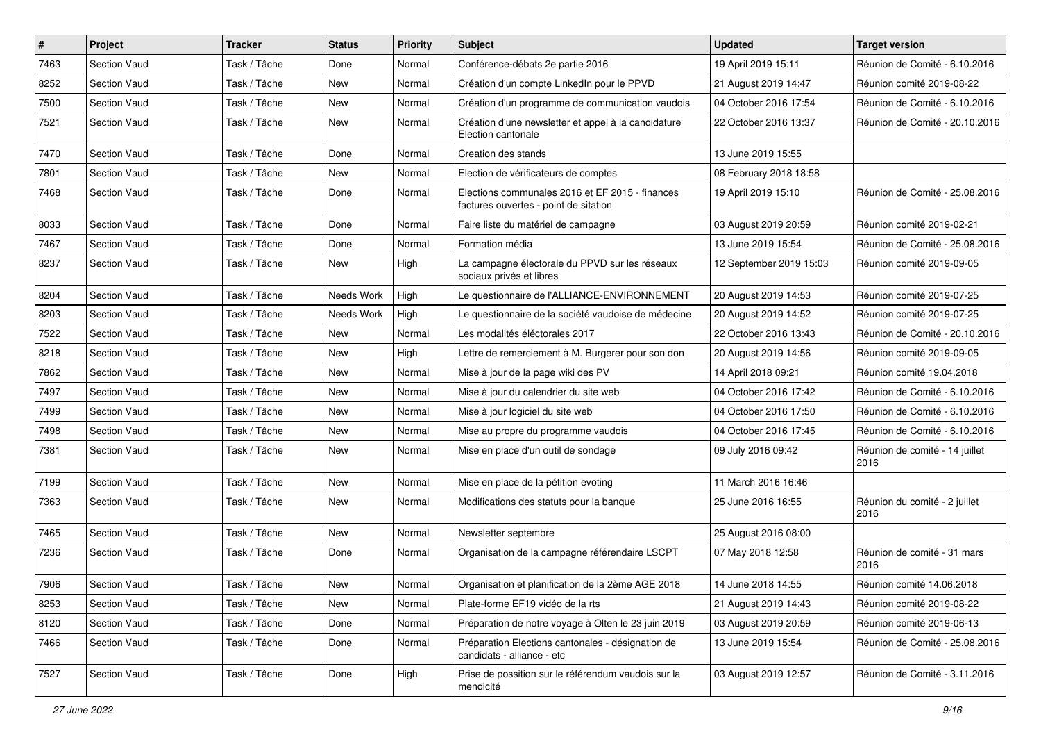| $\vert$ # | Project             | <b>Tracker</b> | <b>Status</b> | <b>Priority</b> | <b>Subject</b>                                                                           | <b>Updated</b>          | <b>Target version</b>                  |
|-----------|---------------------|----------------|---------------|-----------------|------------------------------------------------------------------------------------------|-------------------------|----------------------------------------|
| 7463      | Section Vaud        | Task / Tâche   | Done          | Normal          | Conférence-débats 2e partie 2016                                                         | 19 April 2019 15:11     | Réunion de Comité - 6.10.2016          |
| 8252      | Section Vaud        | Task / Tâche   | <b>New</b>    | Normal          | Création d'un compte LinkedIn pour le PPVD                                               | 21 August 2019 14:47    | Réunion comité 2019-08-22              |
| 7500      | Section Vaud        | Task / Tâche   | New           | Normal          | Création d'un programme de communication vaudois                                         | 04 October 2016 17:54   | Réunion de Comité - 6.10.2016          |
| 7521      | Section Vaud        | Task / Tâche   | New           | Normal          | Création d'une newsletter et appel à la candidature<br>Election cantonale                | 22 October 2016 13:37   | Réunion de Comité - 20.10.2016         |
| 7470      | Section Vaud        | Task / Tâche   | Done          | Normal          | Creation des stands                                                                      | 13 June 2019 15:55      |                                        |
| 7801      | Section Vaud        | Task / Tâche   | New           | Normal          | Election de vérificateurs de comptes                                                     | 08 February 2018 18:58  |                                        |
| 7468      | Section Vaud        | Task / Tâche   | Done          | Normal          | Elections communales 2016 et EF 2015 - finances<br>factures ouvertes - point de sitation | 19 April 2019 15:10     | Réunion de Comité - 25.08.2016         |
| 8033      | Section Vaud        | Task / Tâche   | Done          | Normal          | Faire liste du matériel de campagne                                                      | 03 August 2019 20:59    | Réunion comité 2019-02-21              |
| 7467      | Section Vaud        | Task / Tâche   | Done          | Normal          | Formation média                                                                          | 13 June 2019 15:54      | Réunion de Comité - 25.08.2016         |
| 8237      | <b>Section Vaud</b> | Task / Tâche   | New           | High            | La campagne électorale du PPVD sur les réseaux<br>sociaux privés et libres               | 12 September 2019 15:03 | Réunion comité 2019-09-05              |
| 8204      | Section Vaud        | Task / Tâche   | Needs Work    | High            | Le questionnaire de l'ALLIANCE-ENVIRONNEMENT                                             | 20 August 2019 14:53    | Réunion comité 2019-07-25              |
| 8203      | Section Vaud        | Task / Tâche   | Needs Work    | High            | Le questionnaire de la société vaudoise de médecine                                      | 20 August 2019 14:52    | Réunion comité 2019-07-25              |
| 7522      | Section Vaud        | Task / Tâche   | <b>New</b>    | Normal          | Les modalités éléctorales 2017                                                           | 22 October 2016 13:43   | Réunion de Comité - 20.10.2016         |
| 8218      | Section Vaud        | Task / Tâche   | New           | High            | Lettre de remerciement à M. Burgerer pour son don                                        | 20 August 2019 14:56    | Réunion comité 2019-09-05              |
| 7862      | Section Vaud        | Task / Tâche   | <b>New</b>    | Normal          | Mise à jour de la page wiki des PV                                                       | 14 April 2018 09:21     | Réunion comité 19.04.2018              |
| 7497      | Section Vaud        | Task / Tâche   | New           | Normal          | Mise à jour du calendrier du site web                                                    | 04 October 2016 17:42   | Réunion de Comité - 6.10.2016          |
| 7499      | Section Vaud        | Task / Tâche   | New           | Normal          | Mise à jour logiciel du site web                                                         | 04 October 2016 17:50   | Réunion de Comité - 6.10.2016          |
| 7498      | Section Vaud        | Task / Tâche   | <b>New</b>    | Normal          | Mise au propre du programme vaudois                                                      | 04 October 2016 17:45   | Réunion de Comité - 6.10.2016          |
| 7381      | Section Vaud        | Task / Tâche   | New           | Normal          | Mise en place d'un outil de sondage                                                      | 09 July 2016 09:42      | Réunion de comité - 14 juillet<br>2016 |
| 7199      | Section Vaud        | Task / Tâche   | <b>New</b>    | Normal          | Mise en place de la pétition evoting                                                     | 11 March 2016 16:46     |                                        |
| 7363      | <b>Section Vaud</b> | Task / Tâche   | New           | Normal          | Modifications des statuts pour la banque                                                 | 25 June 2016 16:55      | Réunion du comité - 2 juillet<br>2016  |
| 7465      | Section Vaud        | Task / Tâche   | New           | Normal          | Newsletter septembre                                                                     | 25 August 2016 08:00    |                                        |
| 7236      | Section Vaud        | Task / Tâche   | Done          | Normal          | Organisation de la campagne référendaire LSCPT                                           | 07 May 2018 12:58       | Réunion de comité - 31 mars<br>2016    |
| 7906      | Section Vaud        | Task / Tâche   | New           | Normal          | Organisation et planification de la 2ème AGE 2018                                        | 14 June 2018 14:55      | Réunion comité 14.06.2018              |
| 8253      | Section Vaud        | Task / Tâche   | New           | Normal          | Plate-forme EF19 vidéo de la rts                                                         | 21 August 2019 14:43    | Réunion comité 2019-08-22              |
| 8120      | Section Vaud        | Task / Tâche   | Done          | Normal          | Préparation de notre voyage à Olten le 23 juin 2019                                      | 03 August 2019 20:59    | Réunion comité 2019-06-13              |
| 7466      | Section Vaud        | Task / Tâche   | Done          | Normal          | Préparation Elections cantonales - désignation de<br>candidats - alliance - etc          | 13 June 2019 15:54      | Réunion de Comité - 25.08.2016         |
| 7527      | Section Vaud        | Task / Tâche   | Done          | High            | Prise de possition sur le référendum vaudois sur la<br>mendicité                         | 03 August 2019 12:57    | Réunion de Comité - 3.11.2016          |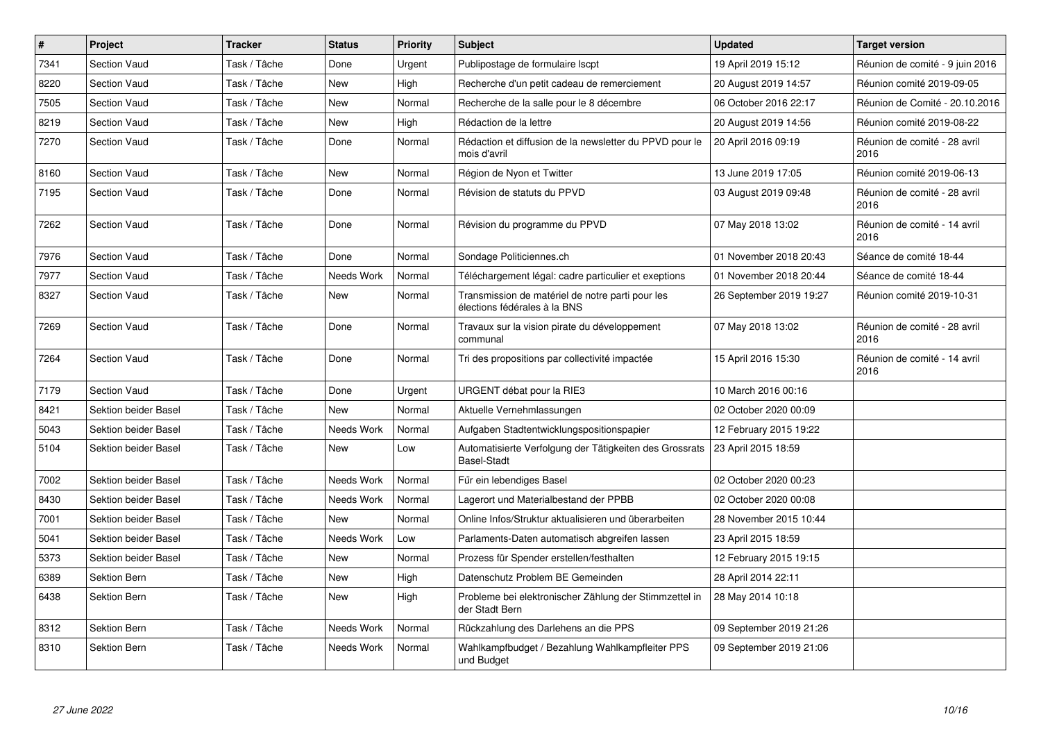| $\vert$ # | Project              | <b>Tracker</b> | <b>Status</b> | <b>Priority</b> | <b>Subject</b>                                                                   | <b>Updated</b>          | <b>Target version</b>                |
|-----------|----------------------|----------------|---------------|-----------------|----------------------------------------------------------------------------------|-------------------------|--------------------------------------|
| 7341      | <b>Section Vaud</b>  | Task / Tâche   | Done          | Urgent          | Publipostage de formulaire Iscpt                                                 | 19 April 2019 15:12     | Réunion de comité - 9 juin 2016      |
| 8220      | Section Vaud         | Task / Tâche   | <b>New</b>    | High            | Recherche d'un petit cadeau de remerciement                                      | 20 August 2019 14:57    | Réunion comité 2019-09-05            |
| 7505      | <b>Section Vaud</b>  | Task / Tâche   | New           | Normal          | Recherche de la salle pour le 8 décembre                                         | 06 October 2016 22:17   | Réunion de Comité - 20.10.2016       |
| 8219      | Section Vaud         | Task / Tâche   | <b>New</b>    | High            | Rédaction de la lettre                                                           | 20 August 2019 14:56    | Réunion comité 2019-08-22            |
| 7270      | Section Vaud         | Task / Tâche   | Done          | Normal          | Rédaction et diffusion de la newsletter du PPVD pour le<br>mois d'avril          | 20 April 2016 09:19     | Réunion de comité - 28 avril<br>2016 |
| 8160      | <b>Section Vaud</b>  | Task / Tâche   | New           | Normal          | Région de Nyon et Twitter                                                        | 13 June 2019 17:05      | Réunion comité 2019-06-13            |
| 7195      | Section Vaud         | Task / Tâche   | Done          | Normal          | Révision de statuts du PPVD                                                      | 03 August 2019 09:48    | Réunion de comité - 28 avril<br>2016 |
| 7262      | Section Vaud         | Task / Tâche   | Done          | Normal          | Révision du programme du PPVD                                                    | 07 May 2018 13:02       | Réunion de comité - 14 avril<br>2016 |
| 7976      | <b>Section Vaud</b>  | Task / Tâche   | Done          | Normal          | Sondage Politiciennes.ch                                                         | 01 November 2018 20:43  | Séance de comité 18-44               |
| 7977      | <b>Section Vaud</b>  | Task / Tâche   | Needs Work    | Normal          | Téléchargement légal: cadre particulier et exeptions                             | 01 November 2018 20:44  | Séance de comité 18-44               |
| 8327      | Section Vaud         | Task / Tâche   | New           | Normal          | Transmission de matériel de notre parti pour les<br>élections fédérales à la BNS | 26 September 2019 19:27 | Réunion comité 2019-10-31            |
| 7269      | Section Vaud         | Task / Tâche   | Done          | Normal          | Travaux sur la vision pirate du développement<br>communal                        | 07 May 2018 13:02       | Réunion de comité - 28 avril<br>2016 |
| 7264      | <b>Section Vaud</b>  | Task / Tâche   | Done          | Normal          | Tri des propositions par collectivité impactée                                   | 15 April 2016 15:30     | Réunion de comité - 14 avril<br>2016 |
| 7179      | <b>Section Vaud</b>  | Task / Tâche   | Done          | Urgent          | URGENT débat pour la RIE3                                                        | 10 March 2016 00:16     |                                      |
| 8421      | Sektion beider Basel | Task / Tâche   | New           | Normal          | Aktuelle Vernehmlassungen                                                        | 02 October 2020 00:09   |                                      |
| 5043      | Sektion beider Basel | Task / Tâche   | Needs Work    | Normal          | Aufgaben Stadtentwicklungspositionspapier                                        | 12 February 2015 19:22  |                                      |
| 5104      | Sektion beider Basel | Task / Tâche   | New           | Low             | Automatisierte Verfolgung der Tätigkeiten des Grossrats<br><b>Basel-Stadt</b>    | 23 April 2015 18:59     |                                      |
| 7002      | Sektion beider Basel | Task / Tâche   | Needs Work    | Normal          | Für ein lebendiges Basel                                                         | 02 October 2020 00:23   |                                      |
| 8430      | Sektion beider Basel | Task / Tâche   | Needs Work    | Normal          | Lagerort und Materialbestand der PPBB                                            | 02 October 2020 00:08   |                                      |
| 7001      | Sektion beider Basel | Task / Tâche   | New           | Normal          | Online Infos/Struktur aktualisieren und überarbeiten                             | 28 November 2015 10:44  |                                      |
| 5041      | Sektion beider Basel | Task / Tâche   | Needs Work    | Low             | Parlaments-Daten automatisch abgreifen lassen                                    | 23 April 2015 18:59     |                                      |
| 5373      | Sektion beider Basel | Task / Tâche   | New           | Normal          | Prozess für Spender erstellen/festhalten                                         | 12 February 2015 19:15  |                                      |
| 6389      | Sektion Bern         | Task / Tâche   | <b>New</b>    | High            | Datenschutz Problem BE Gemeinden                                                 | 28 April 2014 22:11     |                                      |
| 6438      | <b>Sektion Bern</b>  | Task / Tâche   | New           | High            | Probleme bei elektronischer Zählung der Stimmzettel in<br>der Stadt Bern         | 28 May 2014 10:18       |                                      |
| 8312      | <b>Sektion Bern</b>  | Task / Tâche   | Needs Work    | Normal          | Rückzahlung des Darlehens an die PPS                                             | 09 September 2019 21:26 |                                      |
| 8310      | <b>Sektion Bern</b>  | Task / Tâche   | Needs Work    | Normal          | Wahlkampfbudget / Bezahlung Wahlkampfleiter PPS<br>und Budget                    | 09 September 2019 21:06 |                                      |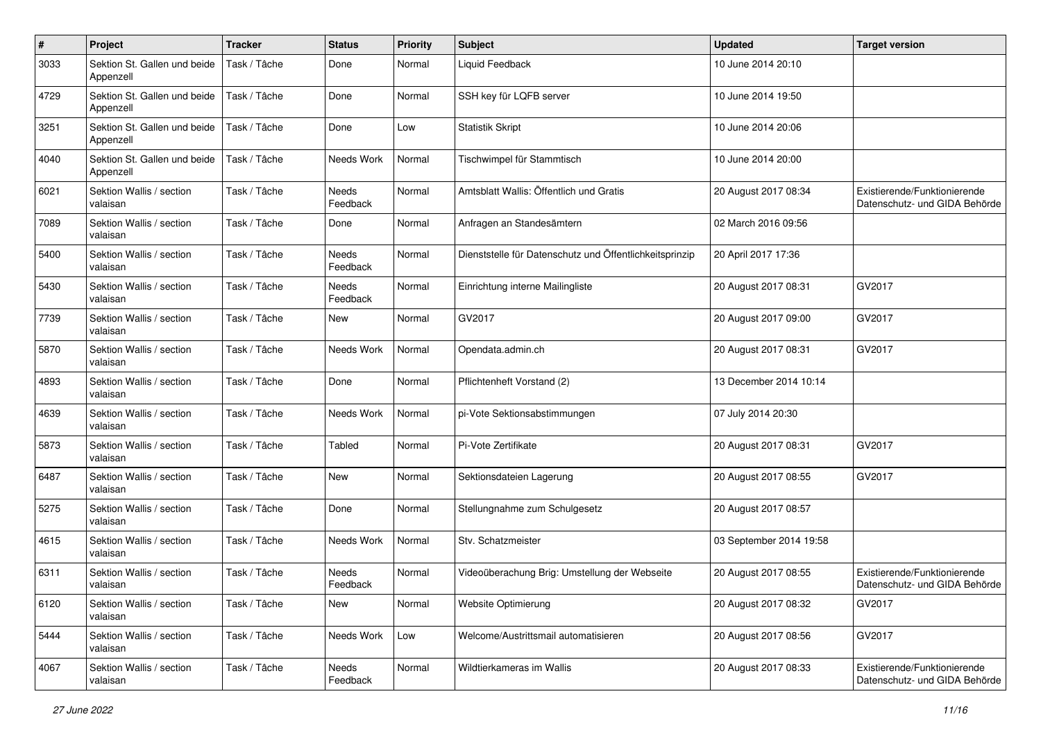| #    | Project                                   | <b>Tracker</b> | <b>Status</b>     | <b>Priority</b> | <b>Subject</b>                                          | <b>Updated</b>          | <b>Target version</b>                                         |
|------|-------------------------------------------|----------------|-------------------|-----------------|---------------------------------------------------------|-------------------------|---------------------------------------------------------------|
| 3033 | Sektion St. Gallen und beide<br>Appenzell | Task / Tâche   | Done              | Normal          | Liquid Feedback                                         | 10 June 2014 20:10      |                                                               |
| 4729 | Sektion St. Gallen und beide<br>Appenzell | Task / Tâche   | Done              | Normal          | SSH key für LQFB server                                 | 10 June 2014 19:50      |                                                               |
| 3251 | Sektion St. Gallen und beide<br>Appenzell | Task / Tâche   | Done              | Low             | <b>Statistik Skript</b>                                 | 10 June 2014 20:06      |                                                               |
| 4040 | Sektion St. Gallen und beide<br>Appenzell | Task / Tâche   | Needs Work        | Normal          | Tischwimpel für Stammtisch                              | 10 June 2014 20:00      |                                                               |
| 6021 | Sektion Wallis / section<br>valaisan      | Task / Tâche   | Needs<br>Feedback | Normal          | Amtsblatt Wallis: Öffentlich und Gratis                 | 20 August 2017 08:34    | Existierende/Funktionierende<br>Datenschutz- und GIDA Behörde |
| 7089 | Sektion Wallis / section<br>valaisan      | Task / Tâche   | Done              | Normal          | Anfragen an Standesämtern                               | 02 March 2016 09:56     |                                                               |
| 5400 | Sektion Wallis / section<br>valaisan      | Task / Tâche   | Needs<br>Feedback | Normal          | Dienststelle für Datenschutz und Öffentlichkeitsprinzip | 20 April 2017 17:36     |                                                               |
| 5430 | Sektion Wallis / section<br>valaisan      | Task / Tâche   | Needs<br>Feedback | Normal          | Einrichtung interne Mailingliste                        | 20 August 2017 08:31    | GV2017                                                        |
| 7739 | Sektion Wallis / section<br>valaisan      | Task / Tâche   | <b>New</b>        | Normal          | GV2017                                                  | 20 August 2017 09:00    | GV2017                                                        |
| 5870 | Sektion Wallis / section<br>valaisan      | Task / Tâche   | Needs Work        | Normal          | Opendata.admin.ch                                       | 20 August 2017 08:31    | GV2017                                                        |
| 4893 | Sektion Wallis / section<br>valaisan      | Task / Tâche   | Done              | Normal          | Pflichtenheft Vorstand (2)                              | 13 December 2014 10:14  |                                                               |
| 4639 | Sektion Wallis / section<br>valaisan      | Task / Tâche   | Needs Work        | Normal          | pi-Vote Sektionsabstimmungen                            | 07 July 2014 20:30      |                                                               |
| 5873 | Sektion Wallis / section<br>valaisan      | Task / Tâche   | <b>Tabled</b>     | Normal          | Pi-Vote Zertifikate                                     | 20 August 2017 08:31    | GV2017                                                        |
| 6487 | Sektion Wallis / section<br>valaisan      | Task / Tâche   | New               | Normal          | Sektionsdateien Lagerung                                | 20 August 2017 08:55    | GV2017                                                        |
| 5275 | Sektion Wallis / section<br>valaisan      | Task / Tâche   | Done              | Normal          | Stellungnahme zum Schulgesetz                           | 20 August 2017 08:57    |                                                               |
| 4615 | Sektion Wallis / section<br>valaisan      | Task / Tâche   | Needs Work        | Normal          | Stv. Schatzmeister                                      | 03 September 2014 19:58 |                                                               |
| 6311 | Sektion Wallis / section<br>valaisan      | Task / Tâche   | Needs<br>Feedback | Normal          | Videoüberachung Brig: Umstellung der Webseite           | 20 August 2017 08:55    | Existierende/Funktionierende<br>Datenschutz- und GIDA Behörde |
| 6120 | Sektion Wallis / section<br>valaisan      | Task / Tâche   | New               | Normal          | Website Optimierung                                     | 20 August 2017 08:32    | GV2017                                                        |
| 5444 | Sektion Wallis / section<br>valaisan      | Task / Tâche   | Needs Work        | Low             | Welcome/Austrittsmail automatisieren                    | 20 August 2017 08:56    | GV2017                                                        |
| 4067 | Sektion Wallis / section<br>valaisan      | Task / Tâche   | Needs<br>Feedback | Normal          | Wildtierkameras im Wallis                               | 20 August 2017 08:33    | Existierende/Funktionierende<br>Datenschutz- und GIDA Behörde |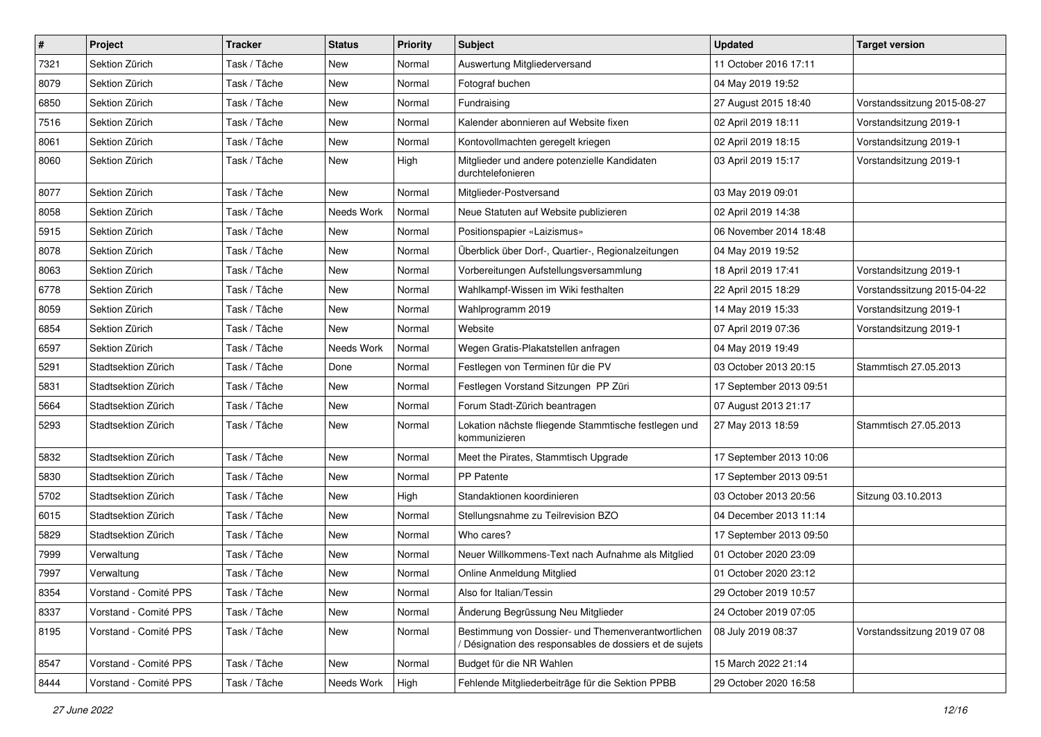| $\sharp$ | Project               | <b>Tracker</b> | <b>Status</b> | <b>Priority</b> | <b>Subject</b>                                                                                                | <b>Updated</b>          | <b>Target version</b>       |
|----------|-----------------------|----------------|---------------|-----------------|---------------------------------------------------------------------------------------------------------------|-------------------------|-----------------------------|
| 7321     | Sektion Zürich        | Task / Tâche   | New           | Normal          | Auswertung Mitgliederversand                                                                                  | 11 October 2016 17:11   |                             |
| 8079     | Sektion Zürich        | Task / Tâche   | <b>New</b>    | Normal          | Fotograf buchen                                                                                               | 04 May 2019 19:52       |                             |
| 6850     | Sektion Zürich        | Task / Tâche   | New           | Normal          | Fundraising                                                                                                   | 27 August 2015 18:40    | Vorstandssitzung 2015-08-27 |
| 7516     | Sektion Zürich        | Task / Tâche   | New           | Normal          | Kalender abonnieren auf Website fixen                                                                         | 02 April 2019 18:11     | Vorstandsitzung 2019-1      |
| 8061     | Sektion Zürich        | Task / Tâche   | <b>New</b>    | Normal          | Kontovollmachten geregelt kriegen                                                                             | 02 April 2019 18:15     | Vorstandsitzung 2019-1      |
| 8060     | Sektion Zürich        | Task / Tâche   | New           | High            | Mitglieder und andere potenzielle Kandidaten<br>durchtelefonieren                                             | 03 April 2019 15:17     | Vorstandsitzung 2019-1      |
| 8077     | Sektion Zürich        | Task / Tâche   | New           | Normal          | Mitglieder-Postversand                                                                                        | 03 May 2019 09:01       |                             |
| 8058     | Sektion Zürich        | Task / Tâche   | Needs Work    | Normal          | Neue Statuten auf Website publizieren                                                                         | 02 April 2019 14:38     |                             |
| 5915     | Sektion Zürich        | Task / Tâche   | <b>New</b>    | Normal          | Positionspapier «Laizismus»                                                                                   | 06 November 2014 18:48  |                             |
| 8078     | Sektion Zürich        | Task / Tâche   | New           | Normal          | Überblick über Dorf-, Quartier-, Regionalzeitungen                                                            | 04 May 2019 19:52       |                             |
| 8063     | Sektion Zürich        | Task / Tâche   | New           | Normal          | Vorbereitungen Aufstellungsversammlung                                                                        | 18 April 2019 17:41     | Vorstandsitzung 2019-1      |
| 6778     | Sektion Zürich        | Task / Tâche   | <b>New</b>    | Normal          | Wahlkampf-Wissen im Wiki festhalten                                                                           | 22 April 2015 18:29     | Vorstandssitzung 2015-04-22 |
| 8059     | Sektion Zürich        | Task / Tâche   | New           | Normal          | Wahlprogramm 2019                                                                                             | 14 May 2019 15:33       | Vorstandsitzung 2019-1      |
| 6854     | Sektion Zürich        | Task / Tâche   | <b>New</b>    | Normal          | Website                                                                                                       | 07 April 2019 07:36     | Vorstandsitzung 2019-1      |
| 6597     | Sektion Zürich        | Task / Tâche   | Needs Work    | Normal          | Wegen Gratis-Plakatstellen anfragen                                                                           | 04 May 2019 19:49       |                             |
| 5291     | Stadtsektion Zürich   | Task / Tâche   | Done          | Normal          | Festlegen von Terminen für die PV                                                                             | 03 October 2013 20:15   | Stammtisch 27.05.2013       |
| 5831     | Stadtsektion Zürich   | Task / Tâche   | <b>New</b>    | Normal          | Festlegen Vorstand Sitzungen PP Züri                                                                          | 17 September 2013 09:51 |                             |
| 5664     | Stadtsektion Zürich   | Task / Tâche   | New           | Normal          | Forum Stadt-Zürich beantragen                                                                                 | 07 August 2013 21:17    |                             |
| 5293     | Stadtsektion Zürich   | Task / Tâche   | New           | Normal          | Lokation nächste fliegende Stammtische festlegen und<br>kommunizieren                                         | 27 May 2013 18:59       | Stammtisch 27.05.2013       |
| 5832     | Stadtsektion Zürich   | Task / Tâche   | New           | Normal          | Meet the Pirates, Stammtisch Upgrade                                                                          | 17 September 2013 10:06 |                             |
| 5830     | Stadtsektion Zürich   | Task / Tâche   | <b>New</b>    | Normal          | PP Patente                                                                                                    | 17 September 2013 09:51 |                             |
| 5702     | Stadtsektion Zürich   | Task / Tâche   | New           | High            | Standaktionen koordinieren                                                                                    | 03 October 2013 20:56   | Sitzung 03.10.2013          |
| 6015     | Stadtsektion Zürich   | Task / Tâche   | New           | Normal          | Stellungsnahme zu Teilrevision BZO                                                                            | 04 December 2013 11:14  |                             |
| 5829     | Stadtsektion Zürich   | Task / Tâche   | <b>New</b>    | Normal          | Who cares?                                                                                                    | 17 September 2013 09:50 |                             |
| 7999     | Verwaltung            | Task / Tâche   | New           | Normal          | Neuer Willkommens-Text nach Aufnahme als Mitglied                                                             | 01 October 2020 23:09   |                             |
| 7997     | Verwaltung            | Task / Tâche   | <b>New</b>    | Normal          | Online Anmeldung Mitglied                                                                                     | 01 October 2020 23:12   |                             |
| 8354     | Vorstand - Comité PPS | Task / Tâche   | New           | Normal          | Also for Italian/Tessin                                                                                       | 29 October 2019 10:57   |                             |
| 8337     | Vorstand - Comité PPS | Task / Tâche   | New           | Normal          | Änderung Begrüssung Neu Mitglieder                                                                            | 24 October 2019 07:05   |                             |
| 8195     | Vorstand - Comité PPS | Task / Tâche   | New           | Normal          | Bestimmung von Dossier- und Themenverantwortlichen<br>/ Désignation des responsables de dossiers et de sujets | 08 July 2019 08:37      | Vorstandssitzung 2019 07 08 |
| 8547     | Vorstand - Comité PPS | Task / Tâche   | New           | Normal          | Budget für die NR Wahlen                                                                                      | 15 March 2022 21:14     |                             |
| 8444     | Vorstand - Comité PPS | Task / Tâche   | Needs Work    | High            | Fehlende Mitgliederbeiträge für die Sektion PPBB                                                              | 29 October 2020 16:58   |                             |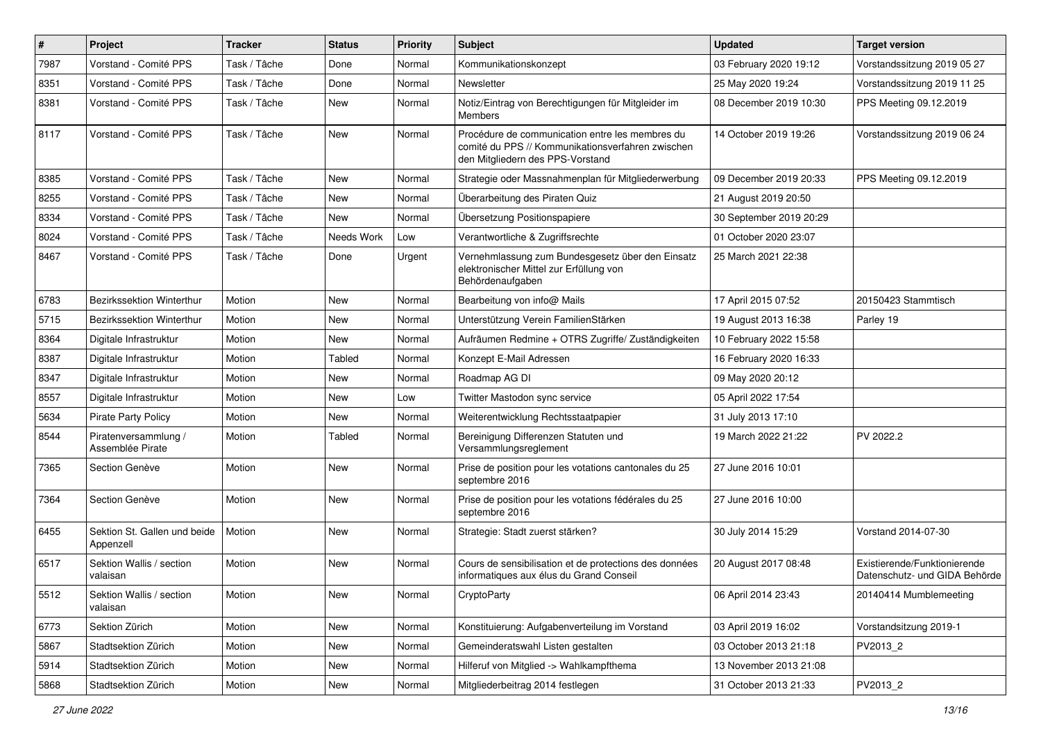| $\#$ | <b>Project</b>                            | <b>Tracker</b> | <b>Status</b> | <b>Priority</b> | <b>Subject</b>                                                                                                                           | <b>Updated</b>          | Target version                                                |
|------|-------------------------------------------|----------------|---------------|-----------------|------------------------------------------------------------------------------------------------------------------------------------------|-------------------------|---------------------------------------------------------------|
| 7987 | Vorstand - Comité PPS                     | Task / Tâche   | Done          | Normal          | Kommunikationskonzept                                                                                                                    | 03 February 2020 19:12  | Vorstandssitzung 2019 05 27                                   |
| 8351 | Vorstand - Comité PPS                     | Task / Tâche   | Done          | Normal          | Newsletter                                                                                                                               | 25 May 2020 19:24       | Vorstandssitzung 2019 11 25                                   |
| 8381 | Vorstand - Comité PPS                     | Task / Tâche   | New           | Normal          | Notiz/Eintrag von Berechtigungen für Mitgleider im<br>Members                                                                            | 08 December 2019 10:30  | PPS Meeting 09.12.2019                                        |
| 8117 | Vorstand - Comité PPS                     | Task / Tâche   | New           | Normal          | Procédure de communication entre les membres du<br>comité du PPS // Kommunikationsverfahren zwischen<br>den Mitgliedern des PPS-Vorstand | 14 October 2019 19:26   | Vorstandssitzung 2019 06 24                                   |
| 8385 | Vorstand - Comité PPS                     | Task / Tâche   | New           | Normal          | Strategie oder Massnahmenplan für Mitgliederwerbung                                                                                      | 09 December 2019 20:33  | PPS Meeting 09.12.2019                                        |
| 8255 | Vorstand - Comité PPS                     | Task / Tâche   | New           | Normal          | Überarbeitung des Piraten Quiz                                                                                                           | 21 August 2019 20:50    |                                                               |
| 8334 | Vorstand - Comité PPS                     | Task / Tâche   | New           | Normal          | Übersetzung Positionspapiere                                                                                                             | 30 September 2019 20:29 |                                                               |
| 8024 | Vorstand - Comité PPS                     | Task / Tâche   | Needs Work    | Low             | Verantwortliche & Zugriffsrechte                                                                                                         | 01 October 2020 23:07   |                                                               |
| 8467 | Vorstand - Comité PPS                     | Task / Tâche   | Done          | Urgent          | Vernehmlassung zum Bundesgesetz über den Einsatz<br>elektronischer Mittel zur Erfüllung von<br>Behördenaufgaben                          | 25 March 2021 22:38     |                                                               |
| 6783 | <b>Bezirkssektion Winterthur</b>          | Motion         | New           | Normal          | Bearbeitung von info@ Mails                                                                                                              | 17 April 2015 07:52     | 20150423 Stammtisch                                           |
| 5715 | Bezirkssektion Winterthur                 | Motion         | New           | Normal          | Unterstützung Verein FamilienStärken                                                                                                     | 19 August 2013 16:38    | Parley 19                                                     |
| 8364 | Digitale Infrastruktur                    | Motion         | New           | Normal          | Aufräumen Redmine + OTRS Zugriffe/Zuständigkeiten                                                                                        | 10 February 2022 15:58  |                                                               |
| 8387 | Digitale Infrastruktur                    | Motion         | Tabled        | Normal          | Konzept E-Mail Adressen                                                                                                                  | 16 February 2020 16:33  |                                                               |
| 8347 | Digitale Infrastruktur                    | Motion         | New           | Normal          | Roadmap AG DI                                                                                                                            | 09 May 2020 20:12       |                                                               |
| 8557 | Digitale Infrastruktur                    | Motion         | New           | Low             | Twitter Mastodon sync service                                                                                                            | 05 April 2022 17:54     |                                                               |
| 5634 | <b>Pirate Party Policy</b>                | Motion         | New           | Normal          | Weiterentwicklung Rechtsstaatpapier                                                                                                      | 31 July 2013 17:10      |                                                               |
| 8544 | Piratenversammlung /<br>Assemblée Pirate  | Motion         | Tabled        | Normal          | Bereinigung Differenzen Statuten und<br>Versammlungsreglement                                                                            | 19 March 2022 21:22     | PV 2022.2                                                     |
| 7365 | Section Genève                            | Motion         | New           | Normal          | Prise de position pour les votations cantonales du 25<br>septembre 2016                                                                  | 27 June 2016 10:01      |                                                               |
| 7364 | Section Genève                            | Motion         | New           | Normal          | Prise de position pour les votations fédérales du 25<br>septembre 2016                                                                   | 27 June 2016 10:00      |                                                               |
| 6455 | Sektion St. Gallen und beide<br>Appenzell | Motion         | New           | Normal          | Strategie: Stadt zuerst stärken?                                                                                                         | 30 July 2014 15:29      | Vorstand 2014-07-30                                           |
| 6517 | Sektion Wallis / section<br>valaisan      | Motion         | New           | Normal          | Cours de sensibilisation et de protections des données<br>informatiques aux élus du Grand Conseil                                        | 20 August 2017 08:48    | Existierende/Funktionierende<br>Datenschutz- und GIDA Behörde |
| 5512 | Sektion Wallis / section<br>valaisan      | Motion         | New           | Normal          | CryptoParty                                                                                                                              | 06 April 2014 23:43     | 20140414 Mumblemeeting                                        |
| 6773 | Sektion Zürich                            | Motion         | New           | Normal          | Konstituierung: Aufgabenverteilung im Vorstand                                                                                           | 03 April 2019 16:02     | Vorstandsitzung 2019-1                                        |
| 5867 | Stadtsektion Zürich                       | Motion         | New           | Normal          | Gemeinderatswahl Listen gestalten                                                                                                        | 03 October 2013 21:18   | PV2013_2                                                      |
| 5914 | Stadtsektion Zürich                       | Motion         | New           | Normal          | Hilferuf von Mitglied -> Wahlkampfthema                                                                                                  | 13 November 2013 21:08  |                                                               |
| 5868 | Stadtsektion Zürich                       | Motion         | New           | Normal          | Mitgliederbeitrag 2014 festlegen                                                                                                         | 31 October 2013 21:33   | PV2013_2                                                      |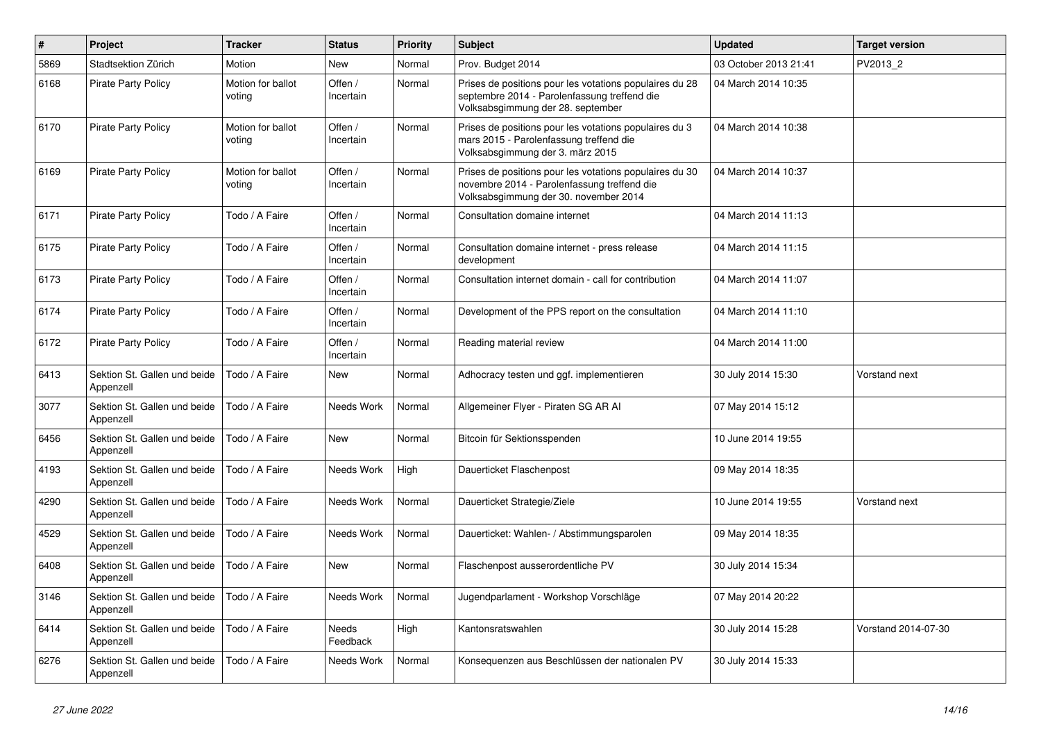| $\sharp$ | Project                                   | <b>Tracker</b>              | <b>Status</b>            | <b>Priority</b> | <b>Subject</b>                                                                                                                                  | <b>Updated</b>        | <b>Target version</b> |
|----------|-------------------------------------------|-----------------------------|--------------------------|-----------------|-------------------------------------------------------------------------------------------------------------------------------------------------|-----------------------|-----------------------|
| 5869     | Stadtsektion Zürich                       | Motion                      | <b>New</b>               | Normal          | Prov. Budget 2014                                                                                                                               | 03 October 2013 21:41 | PV2013_2              |
| 6168     | <b>Pirate Party Policy</b>                | Motion for ballot<br>voting | Offen /<br>Incertain     | Normal          | Prises de positions pour les votations populaires du 28<br>septembre 2014 - Parolenfassung treffend die<br>Volksabsgimmung der 28. september    | 04 March 2014 10:35   |                       |
| 6170     | <b>Pirate Party Policy</b>                | Motion for ballot<br>voting | Offen /<br>Incertain     | Normal          | Prises de positions pour les votations populaires du 3<br>mars 2015 - Parolenfassung treffend die<br>Volksabsgimmung der 3. märz 2015           | 04 March 2014 10:38   |                       |
| 6169     | <b>Pirate Party Policy</b>                | Motion for ballot<br>voting | Offen /<br>Incertain     | Normal          | Prises de positions pour les votations populaires du 30<br>novembre 2014 - Parolenfassung treffend die<br>Volksabsgimmung der 30. november 2014 | 04 March 2014 10:37   |                       |
| 6171     | <b>Pirate Party Policy</b>                | Todo / A Faire              | Offen /<br>Incertain     | Normal          | Consultation domaine internet                                                                                                                   | 04 March 2014 11:13   |                       |
| 6175     | <b>Pirate Party Policy</b>                | Todo / A Faire              | Offen /<br>Incertain     | Normal          | Consultation domaine internet - press release<br>development                                                                                    | 04 March 2014 11:15   |                       |
| 6173     | <b>Pirate Party Policy</b>                | Todo / A Faire              | Offen /<br>Incertain     | Normal          | Consultation internet domain - call for contribution                                                                                            | 04 March 2014 11:07   |                       |
| 6174     | <b>Pirate Party Policy</b>                | Todo / A Faire              | Offen /<br>Incertain     | Normal          | Development of the PPS report on the consultation                                                                                               | 04 March 2014 11:10   |                       |
| 6172     | <b>Pirate Party Policy</b>                | Todo / A Faire              | Offen /<br>Incertain     | Normal          | Reading material review                                                                                                                         | 04 March 2014 11:00   |                       |
| 6413     | Sektion St. Gallen und beide<br>Appenzell | Todo / A Faire              | New                      | Normal          | Adhocracy testen und ggf. implementieren                                                                                                        | 30 July 2014 15:30    | Vorstand next         |
| 3077     | Sektion St. Gallen und beide<br>Appenzell | Todo / A Faire              | Needs Work               | Normal          | Allgemeiner Flyer - Piraten SG AR Al                                                                                                            | 07 May 2014 15:12     |                       |
| 6456     | Sektion St. Gallen und beide<br>Appenzell | Todo / A Faire              | <b>New</b>               | Normal          | Bitcoin für Sektionsspenden                                                                                                                     | 10 June 2014 19:55    |                       |
| 4193     | Sektion St. Gallen und beide<br>Appenzell | Todo / A Faire              | Needs Work               | High            | Dauerticket Flaschenpost                                                                                                                        | 09 May 2014 18:35     |                       |
| 4290     | Sektion St. Gallen und beide<br>Appenzell | Todo / A Faire              | Needs Work               | Normal          | Dauerticket Strategie/Ziele                                                                                                                     | 10 June 2014 19:55    | Vorstand next         |
| 4529     | Sektion St. Gallen und beide<br>Appenzell | Todo / A Faire              | Needs Work               | Normal          | Dauerticket: Wahlen- / Abstimmungsparolen                                                                                                       | 09 May 2014 18:35     |                       |
| 6408     | Sektion St. Gallen und beide<br>Appenzell | Todo / A Faire              | New                      | Normal          | Flaschenpost ausserordentliche PV                                                                                                               | 30 July 2014 15:34    |                       |
| 3146     | Sektion St. Gallen und beide<br>Appenzell | Todo / A Faire              | Needs Work               | Normal          | Jugendparlament - Workshop Vorschläge                                                                                                           | 07 May 2014 20:22     |                       |
| 6414     | Sektion St. Gallen und beide<br>Appenzell | Todo / A Faire              | <b>Needs</b><br>Feedback | High            | Kantonsratswahlen                                                                                                                               | 30 July 2014 15:28    | Vorstand 2014-07-30   |
| 6276     | Sektion St. Gallen und beide<br>Appenzell | Todo / A Faire              | Needs Work               | Normal          | Konseguenzen aus Beschlüssen der nationalen PV                                                                                                  | 30 July 2014 15:33    |                       |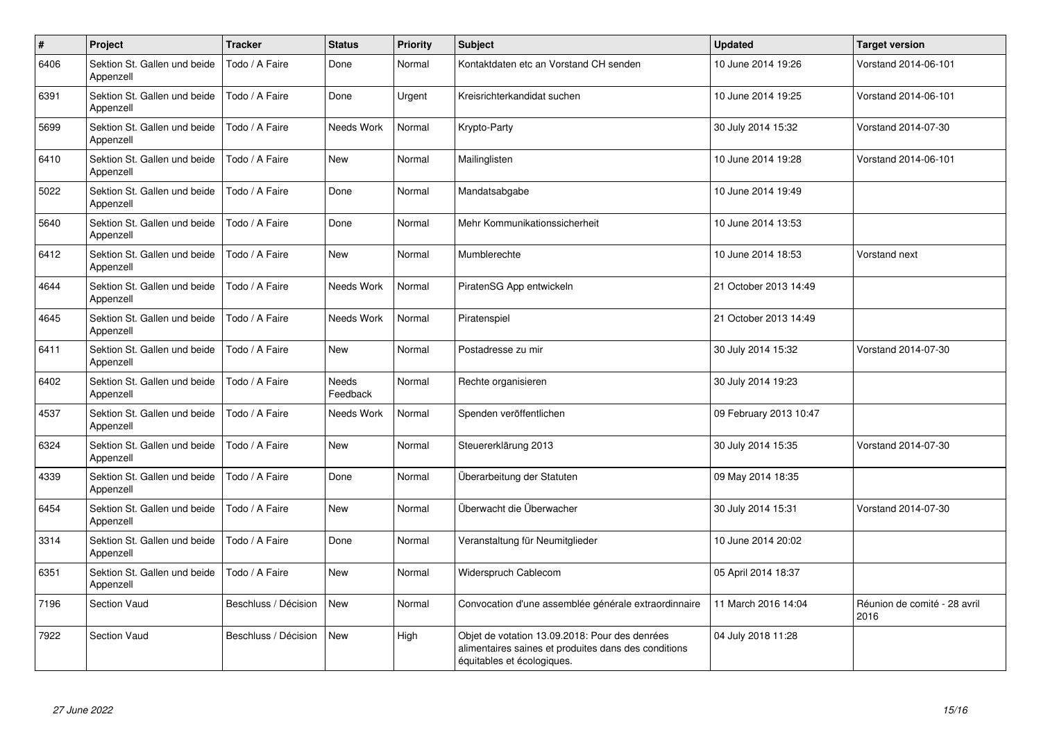| $\#$ | Project                                   | <b>Tracker</b>       | <b>Status</b>            | <b>Priority</b> | <b>Subject</b>                                                                                                                       | <b>Updated</b>         | <b>Target version</b>                |
|------|-------------------------------------------|----------------------|--------------------------|-----------------|--------------------------------------------------------------------------------------------------------------------------------------|------------------------|--------------------------------------|
| 6406 | Sektion St. Gallen und beide<br>Appenzell | Todo / A Faire       | Done                     | Normal          | Kontaktdaten etc an Vorstand CH senden                                                                                               | 10 June 2014 19:26     | Vorstand 2014-06-101                 |
| 6391 | Sektion St. Gallen und beide<br>Appenzell | Todo / A Faire       | Done                     | Urgent          | Kreisrichterkandidat suchen                                                                                                          | 10 June 2014 19:25     | Vorstand 2014-06-101                 |
| 5699 | Sektion St. Gallen und beide<br>Appenzell | Todo / A Faire       | Needs Work               | Normal          | Krypto-Party                                                                                                                         | 30 July 2014 15:32     | Vorstand 2014-07-30                  |
| 6410 | Sektion St. Gallen und beide<br>Appenzell | Todo / A Faire       | <b>New</b>               | Normal          | Mailinglisten                                                                                                                        | 10 June 2014 19:28     | Vorstand 2014-06-101                 |
| 5022 | Sektion St. Gallen und beide<br>Appenzell | Todo / A Faire       | Done                     | Normal          | Mandatsabgabe                                                                                                                        | 10 June 2014 19:49     |                                      |
| 5640 | Sektion St. Gallen und beide<br>Appenzell | Todo / A Faire       | Done                     | Normal          | Mehr Kommunikationssicherheit                                                                                                        | 10 June 2014 13:53     |                                      |
| 6412 | Sektion St. Gallen und beide<br>Appenzell | Todo / A Faire       | <b>New</b>               | Normal          | Mumblerechte                                                                                                                         | 10 June 2014 18:53     | Vorstand next                        |
| 4644 | Sektion St. Gallen und beide<br>Appenzell | Todo / A Faire       | Needs Work               | Normal          | PiratenSG App entwickeln                                                                                                             | 21 October 2013 14:49  |                                      |
| 4645 | Sektion St. Gallen und beide<br>Appenzell | Todo / A Faire       | Needs Work               | Normal          | Piratenspiel                                                                                                                         | 21 October 2013 14:49  |                                      |
| 6411 | Sektion St. Gallen und beide<br>Appenzell | Todo / A Faire       | <b>New</b>               | Normal          | Postadresse zu mir                                                                                                                   | 30 July 2014 15:32     | Vorstand 2014-07-30                  |
| 6402 | Sektion St. Gallen und beide<br>Appenzell | Todo / A Faire       | <b>Needs</b><br>Feedback | Normal          | Rechte organisieren                                                                                                                  | 30 July 2014 19:23     |                                      |
| 4537 | Sektion St. Gallen und beide<br>Appenzell | Todo / A Faire       | Needs Work               | Normal          | Spenden veröffentlichen                                                                                                              | 09 February 2013 10:47 |                                      |
| 6324 | Sektion St. Gallen und beide<br>Appenzell | Todo / A Faire       | New                      | Normal          | Steuererklärung 2013                                                                                                                 | 30 July 2014 15:35     | Vorstand 2014-07-30                  |
| 4339 | Sektion St. Gallen und beide<br>Appenzell | Todo / A Faire       | Done                     | Normal          | Überarbeitung der Statuten                                                                                                           | 09 May 2014 18:35      |                                      |
| 6454 | Sektion St. Gallen und beide<br>Appenzell | Todo / A Faire       | New                      | Normal          | Überwacht die Überwacher                                                                                                             | 30 July 2014 15:31     | Vorstand 2014-07-30                  |
| 3314 | Sektion St. Gallen und beide<br>Appenzell | Todo / A Faire       | Done                     | Normal          | Veranstaltung für Neumitglieder                                                                                                      | 10 June 2014 20:02     |                                      |
| 6351 | Sektion St. Gallen und beide<br>Appenzell | Todo / A Faire       | New                      | Normal          | Widerspruch Cablecom                                                                                                                 | 05 April 2014 18:37    |                                      |
| 7196 | Section Vaud                              | Beschluss / Décision | <b>New</b>               | Normal          | Convocation d'une assemblée générale extraordinnaire                                                                                 | 11 March 2016 14:04    | Réunion de comité - 28 avril<br>2016 |
| 7922 | <b>Section Vaud</b>                       | Beschluss / Décision | <b>New</b>               | High            | Objet de votation 13.09.2018: Pour des denrées<br>alimentaires saines et produites dans des conditions<br>équitables et écologiques. | 04 July 2018 11:28     |                                      |